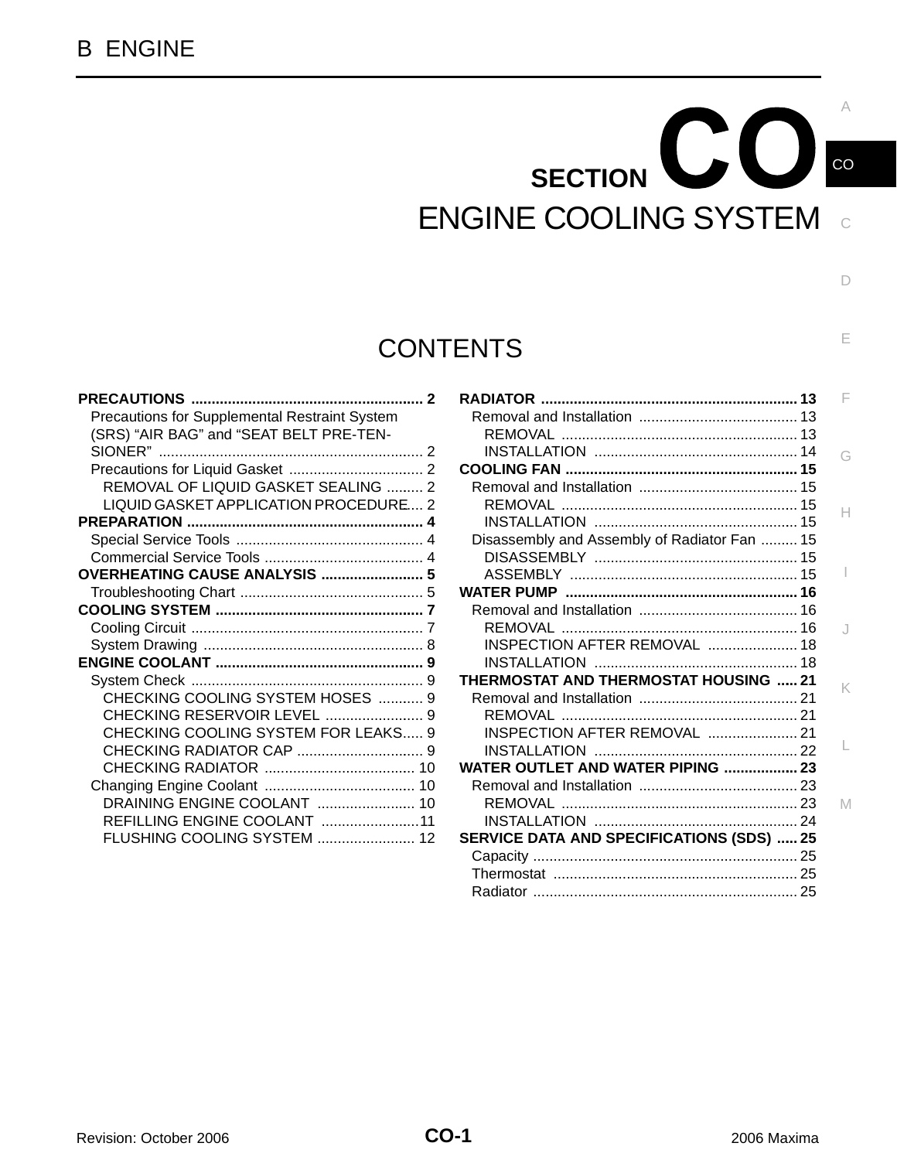## $\mathbf{C}\mathbf{O}$ **SECTION**  ENGINE COOLING SYSTEM and

## **CONTENTS**

| <b>PRECAUTIONS </b>                           |  |
|-----------------------------------------------|--|
| Precautions for Supplemental Restraint System |  |
| (SRS) "AIR BAG" and "SEAT BELT PRE-TEN-       |  |
| SIONER"                                       |  |
|                                               |  |
| REMOVAL OF LIQUID GASKET SEALING  2           |  |
| LIQUID GASKET APPLICATION PROCEDURE 2         |  |
|                                               |  |
|                                               |  |
|                                               |  |
| <b>OVERHEATING CAUSE ANALYSIS  5</b>          |  |
|                                               |  |
|                                               |  |
|                                               |  |
|                                               |  |
|                                               |  |
|                                               |  |
| CHECKING COOLING SYSTEM HOSES  9              |  |
|                                               |  |
| CHECKING COOLING SYSTEM FOR LEAKS 9           |  |
|                                               |  |
|                                               |  |
|                                               |  |
| DRAINING ENGINE COOLANT  10                   |  |
| REFILLING ENGINE COOLANT 11                   |  |
| FLUSHING COOLING SYSTEM  12                   |  |
|                                               |  |

|                                                  | F  |
|--------------------------------------------------|----|
|                                                  |    |
|                                                  |    |
|                                                  | G  |
|                                                  |    |
|                                                  |    |
|                                                  | Н  |
|                                                  |    |
| Disassembly and Assembly of Radiator Fan  15     |    |
|                                                  |    |
|                                                  |    |
|                                                  |    |
|                                                  |    |
|                                                  | J. |
| INSPECTION AFTER REMOVAL  18                     |    |
|                                                  |    |
| <b>THERMOSTAT AND THERMOSTAT HOUSING 21</b>      |    |
|                                                  | K  |
|                                                  |    |
| INSPECTION AFTER REMOVAL  21                     |    |
|                                                  | L  |
| <b>WATER OUTLET AND WATER PIPING  23</b>         |    |
|                                                  |    |
|                                                  | M  |
|                                                  |    |
| <b>SERVICE DATA AND SPECIFICATIONS (SDS)  25</b> |    |
|                                                  |    |
|                                                  |    |
|                                                  |    |
|                                                  |    |

D

A

CO

E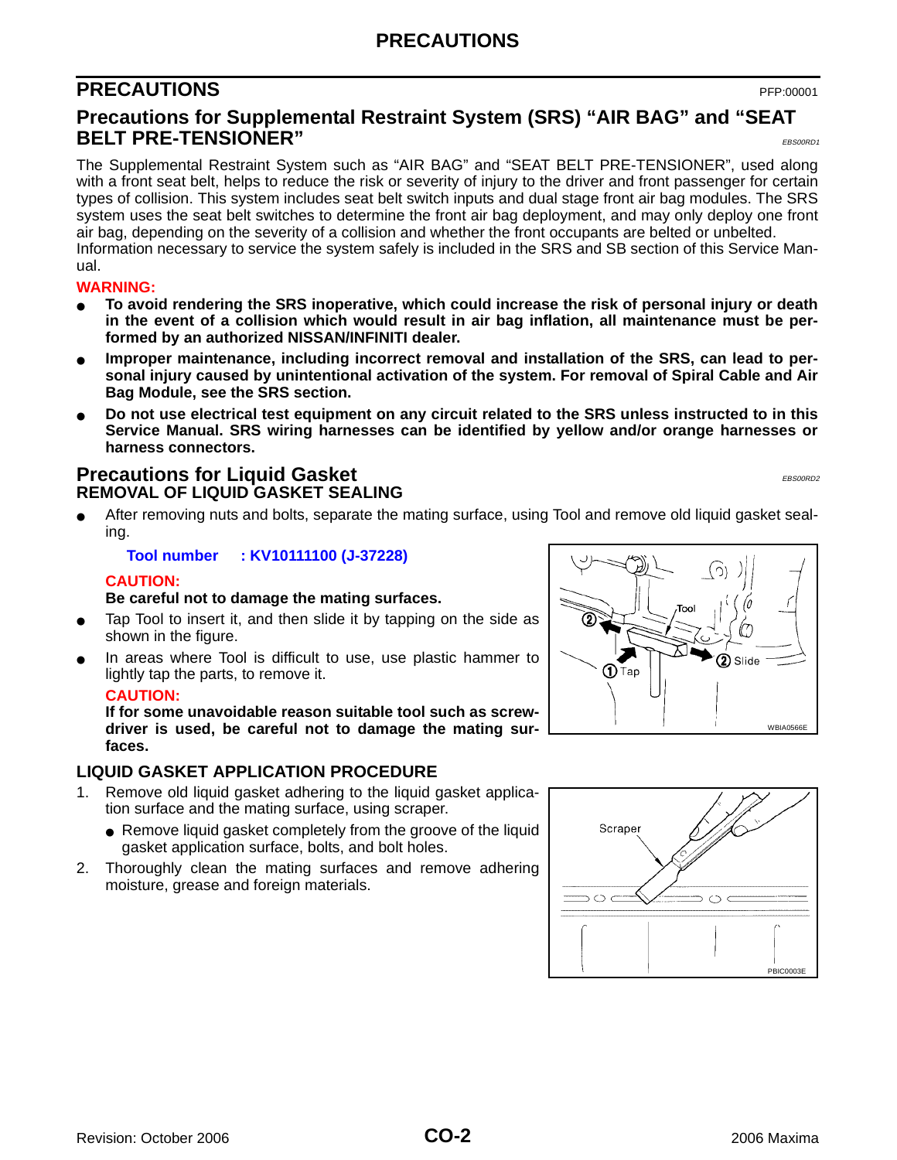## **PRECAUTIONS**

## <span id="page-1-0"></span>**PRECAUTIONS** PFP:00001

### <span id="page-1-1"></span>**Precautions for Supplemental Restraint System (SRS) "AIR BAG" and "SEAT BELT PRE-TENSIONER"** EBSOORDE

The Supplemental Restraint System such as "AIR BAG" and "SEAT BELT PRE-TENSIONER", used along with a front seat belt, helps to reduce the risk or severity of injury to the driver and front passenger for certain types of collision. This system includes seat belt switch inputs and dual stage front air bag modules. The SRS system uses the seat belt switches to determine the front air bag deployment, and may only deploy one front air bag, depending on the severity of a collision and whether the front occupants are belted or unbelted. Information necessary to service the system safely is included in the SRS and SB section of this Service Manual.

#### **WARNING:**

- **To avoid rendering the SRS inoperative, which could increase the risk of personal injury or death in the event of a collision which would result in air bag inflation, all maintenance must be performed by an authorized NISSAN/INFINITI dealer.**
- Improper maintenance, including incorrect removal and installation of the SRS, can lead to per**sonal injury caused by unintentional activation of the system. For removal of Spiral Cable and Air Bag Module, see the SRS section.**
- Do not use electrical test equipment on any circuit related to the SRS unless instructed to in this **Service Manual. SRS wiring harnesses can be identified by yellow and/or orange harnesses or harness connectors.**

#### <span id="page-1-3"></span><span id="page-1-2"></span>**Precautions for Liquid Gasket** EBS00RD2 **REMOVAL OF LIQUID GASKET SEALING**

After removing nuts and bolts, separate the mating surface, using Tool and remove old liquid gasket sealing.

**Tool number : KV10111100 (J-37228)**

#### **CAUTION:**

#### **Be careful not to damage the mating surfaces.**

- Tap Tool to insert it, and then slide it by tapping on the side as shown in the figure.
- In areas where Tool is difficult to use, use plastic hammer to lightly tap the parts, to remove it.

#### **CAUTION:**

**If for some unavoidable reason suitable tool such as screwdriver is used, be careful not to damage the mating surfaces.**

#### <span id="page-1-4"></span>**LIQUID GASKET APPLICATION PROCEDURE**

- Remove old liquid gasket adhering to the liquid gasket application surface and the mating surface, using scraper.
	- Remove liquid gasket completely from the groove of the liquid gasket application surface, bolts, and bolt holes.
- 2. Thoroughly clean the mating surfaces and remove adhering moisture, grease and foreign materials.



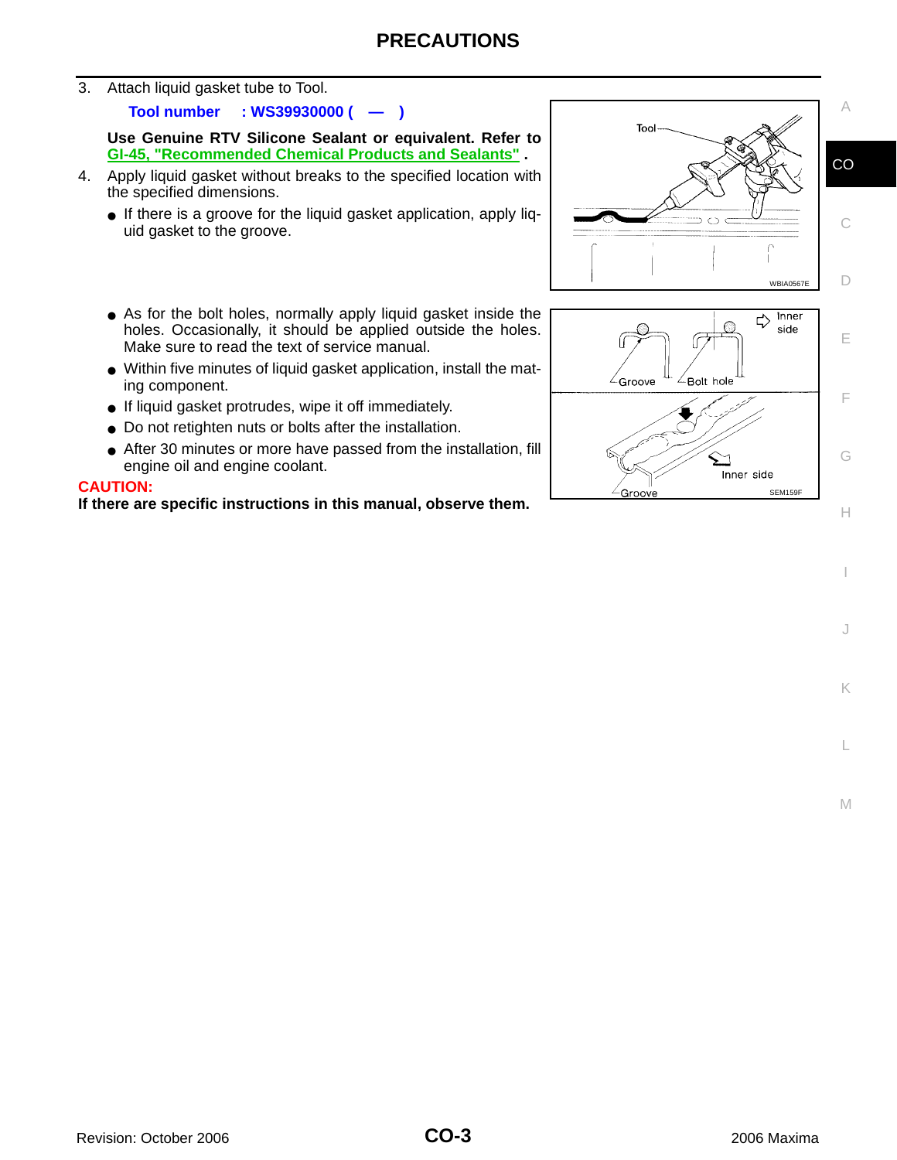3. Attach liquid gasket tube to Tool.

**Tool number : WS39930000 ( — )**

**Use Genuine RTV Silicone Sealant or equivalent. Refer to GI-45, "Recommended Chemical Products and Sealants" .**

- 4. Apply liquid gasket without breaks to the specified location with the specified dimensions.
	- If there is a groove for the liquid gasket application, apply liquid gasket to the groove.
	- As for the bolt holes, normally apply liquid gasket inside the holes. Occasionally, it should be applied outside the holes. Make sure to read the text of service manual.
	- Within five minutes of liquid gasket application, install the mating component.
	- If liquid gasket protrudes, wipe it off immediately.
	- Do not retighten nuts or bolts after the installation.
	- After 30 minutes or more have passed from the installation, fill engine oil and engine coolant.

#### **CAUTION:**

**If there are specific instructions in this manual, observe them.**



I

J

K

L

M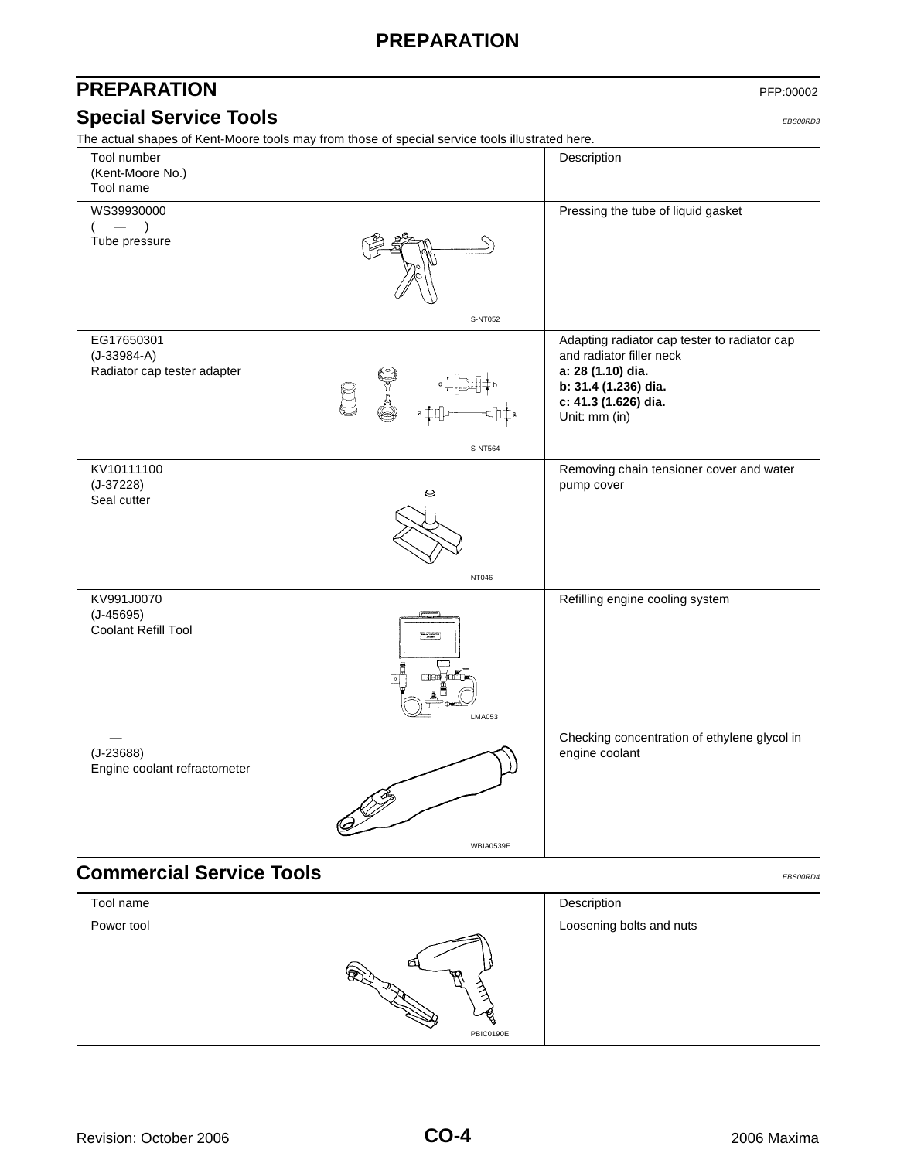## **PREPARATION**

#### <span id="page-3-1"></span><span id="page-3-0"></span>**PREPARATION** PFP:00002 **Special Service Tools** EBS00RD3 The actual shapes of Kent-Moore tools may from those of special service tools illustrated here. **Commercial Service Tools** EBS00RD4 **COMMERCIAL SERVICE TOOLS** Tool number (Kent-Moore No.) Tool name Description WS39930000  $($  —  $)$ Tube pressure Pressing the tube of liquid gasket EG17650301 (J-33984-A) Radiator cap tester adapter Adapting radiator cap tester to radiator cap and radiator filler neck **a: 28 (1.10) dia. b: 31.4 (1.236) dia. c: 41.3 (1.626) dia.** Unit: mm (in) KV10111100 (J-37228) Seal cutter Removing chain tensioner cover and water pump cover KV991J0070 (J-45695) Coolant Refill Tool Refilling engine cooling system — (J-23688) Engine coolant refractometer Checking concentration of ethylene glycol in engine coolant S-NT052 S-NT564 NT046 LMA053 WBIA0539E Tool name Description Power tool **Loosening bolts and nuts**

<span id="page-3-2"></span>PBIC0190E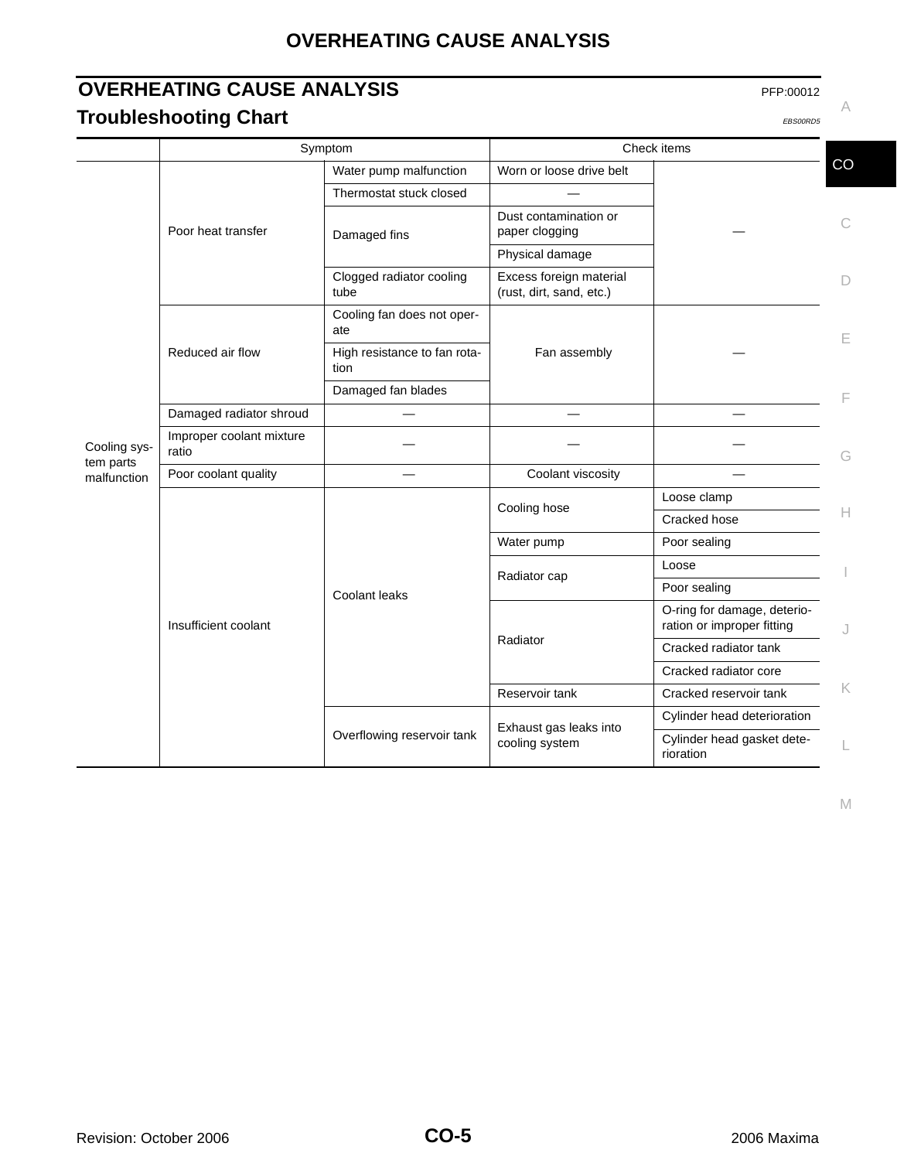## **OVERHEATING CAUSE ANALYSIS**

## <span id="page-4-1"></span><span id="page-4-0"></span>**OVERHEATING CAUSE ANALYSIS** PFP:00012 **Troubleshooting Chart** EBS00RD5 **CONSUMPTION**

|                          | Symptom                           |                                      | Check items                                         |                                                           |                    |
|--------------------------|-----------------------------------|--------------------------------------|-----------------------------------------------------|-----------------------------------------------------------|--------------------|
|                          |                                   | Water pump malfunction               | Worn or loose drive belt                            |                                                           | CO                 |
|                          | Poor heat transfer                | Thermostat stuck closed              |                                                     |                                                           |                    |
|                          |                                   | Damaged fins                         | Dust contamination or<br>paper clogging             |                                                           | С                  |
|                          |                                   |                                      | Physical damage                                     |                                                           |                    |
|                          |                                   | Clogged radiator cooling<br>tube     | Excess foreign material<br>(rust, dirt, sand, etc.) |                                                           | D                  |
|                          |                                   | Cooling fan does not oper-<br>ate    | Fan assembly                                        |                                                           | Е                  |
|                          | Reduced air flow                  | High resistance to fan rota-<br>tion |                                                     |                                                           |                    |
|                          |                                   | Damaged fan blades                   |                                                     |                                                           |                    |
|                          | Damaged radiator shroud           |                                      |                                                     |                                                           |                    |
| Cooling sys-             | Improper coolant mixture<br>ratio |                                      |                                                     |                                                           | G                  |
| tem parts<br>malfunction | Poor coolant quality              |                                      | Coolant viscosity                                   |                                                           |                    |
|                          | Insufficient coolant              | Coolant leaks                        | Cooling hose                                        | Loose clamp                                               |                    |
|                          |                                   |                                      |                                                     | Cracked hose                                              | Н                  |
|                          |                                   |                                      | Water pump                                          | Poor sealing                                              |                    |
|                          |                                   |                                      | Radiator cap                                        | Loose                                                     |                    |
|                          |                                   |                                      |                                                     | Poor sealing                                              |                    |
|                          |                                   |                                      | Radiator                                            | O-ring for damage, deterio-<br>ration or improper fitting | J                  |
|                          |                                   |                                      |                                                     | Cracked radiator tank                                     |                    |
|                          |                                   |                                      |                                                     | Cracked radiator core                                     |                    |
|                          |                                   |                                      | Reservoir tank                                      | Cracked reservoir tank                                    | $\mathsf{K}% _{0}$ |
|                          |                                   | Overflowing reservoir tank           | Exhaust gas leaks into<br>cooling system            | Cylinder head deterioration                               |                    |
|                          |                                   |                                      |                                                     | Cylinder head gasket dete-<br>rioration                   |                    |

M

A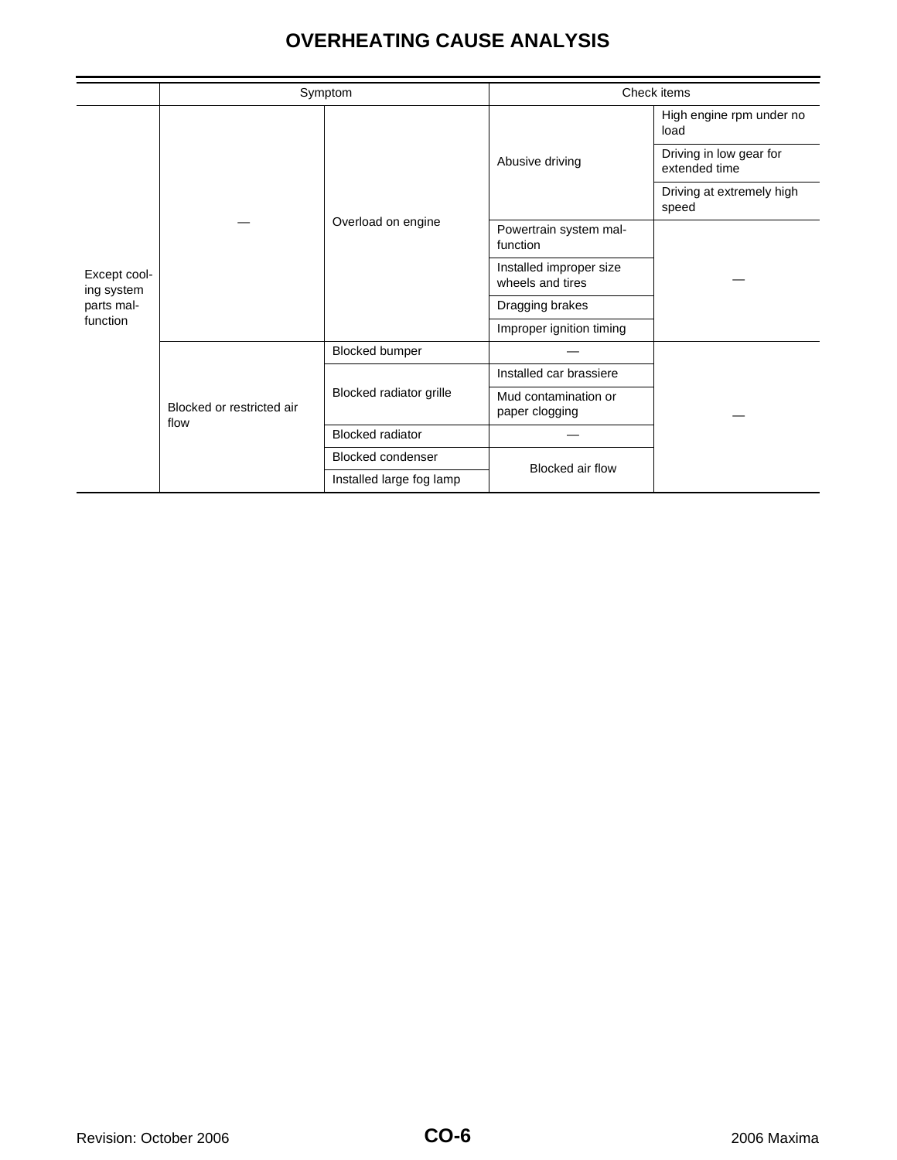## **OVERHEATING CAUSE ANALYSIS**

|                                                      |                                   | Symptom                  |                                             | Check items                              |  |
|------------------------------------------------------|-----------------------------------|--------------------------|---------------------------------------------|------------------------------------------|--|
| Except cool-<br>ing system<br>parts mal-<br>function |                                   |                          | High engine rpm under no<br>load            |                                          |  |
|                                                      |                                   | Overload on engine       | Abusive driving                             | Driving in low gear for<br>extended time |  |
|                                                      |                                   |                          |                                             | Driving at extremely high<br>speed       |  |
|                                                      |                                   |                          | Powertrain system mal-<br>function          |                                          |  |
|                                                      |                                   |                          | Installed improper size<br>wheels and tires |                                          |  |
|                                                      |                                   |                          | Dragging brakes                             |                                          |  |
|                                                      |                                   |                          | Improper ignition timing                    |                                          |  |
|                                                      | Blocked or restricted air<br>flow | Blocked bumper           |                                             |                                          |  |
|                                                      |                                   | Blocked radiator grille  | Installed car brassiere                     |                                          |  |
|                                                      |                                   |                          | Mud contamination or<br>paper clogging      |                                          |  |
|                                                      |                                   | <b>Blocked radiator</b>  |                                             |                                          |  |
|                                                      |                                   | <b>Blocked condenser</b> | Blocked air flow                            |                                          |  |
|                                                      | Installed large fog lamp          |                          |                                             |                                          |  |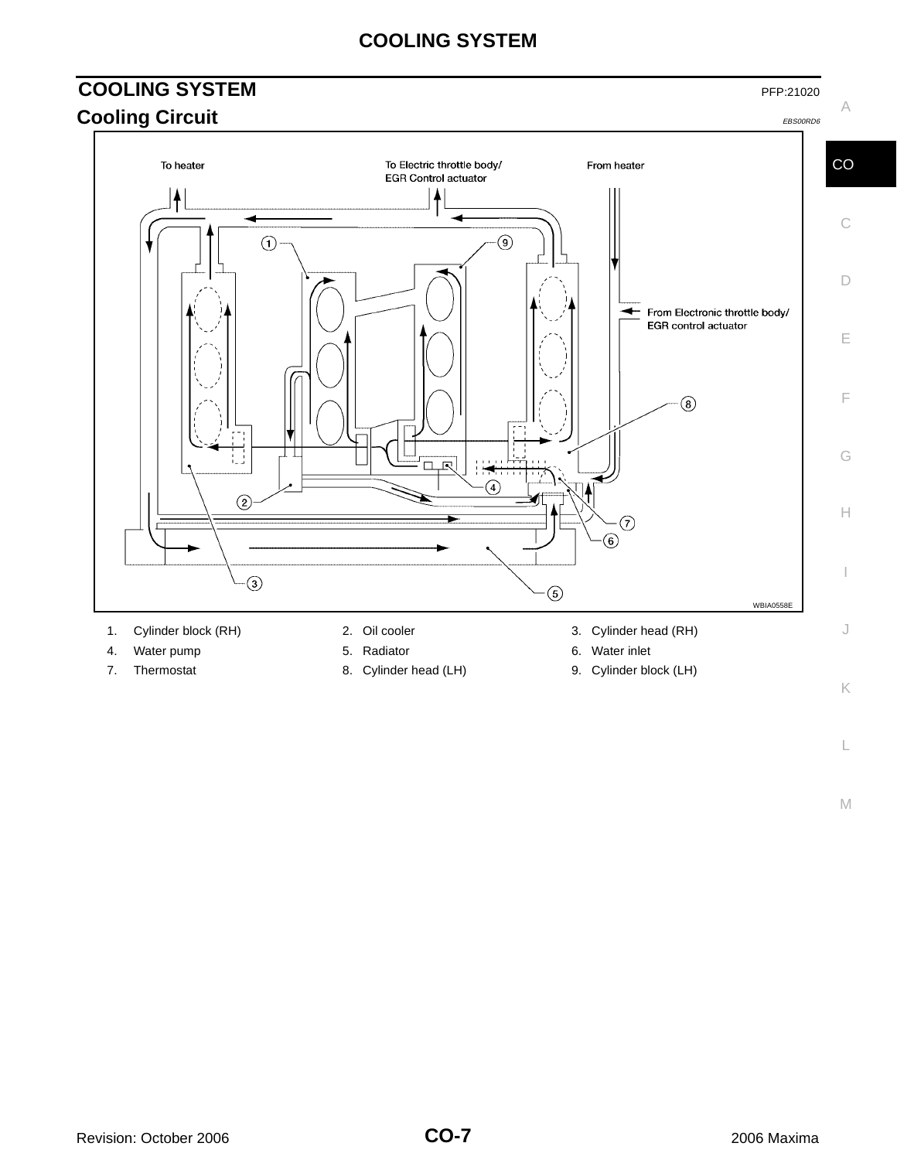## **COOLING SYSTEM**

#### <span id="page-6-1"></span><span id="page-6-0"></span>**COOLING SYSTEM** PFP:21020 A **Cooling Circuit** EBS00RD6 To Electric throttle body/ CO To heater From heater **EGR Control actuator**  $\ddagger$ C  $\bigcap$  $\circledS$ D From Electronic throttle body/ EGR control actuator E F  $\circledS$ П G 口尺  $\left( \widehat{4}\right)$  $(2)$ H ⊙  $\circledast$  $-\bigcirc$  $\circledS$ WBIA0558E 1. Cylinder block (RH) 2. Oil cooler 3. Cylinder head (RH) J 4. Water pump **5. Radiator** 6. Water inlet

- 
- 
- 
- 7. Thermostat 8. Cylinder head (LH) 9. Cylinder block (LH)
- -

M

L

K

I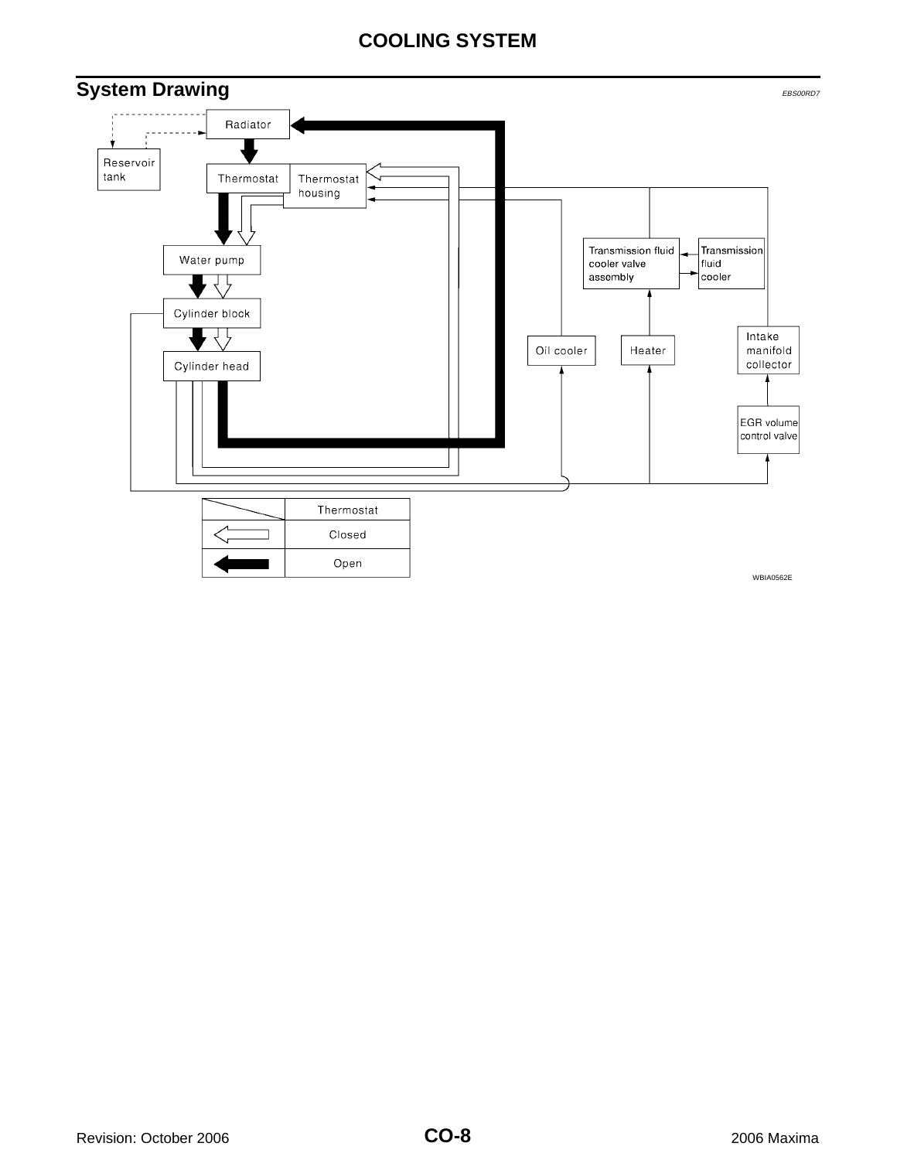## **COOLING SYSTEM**

<span id="page-7-0"></span>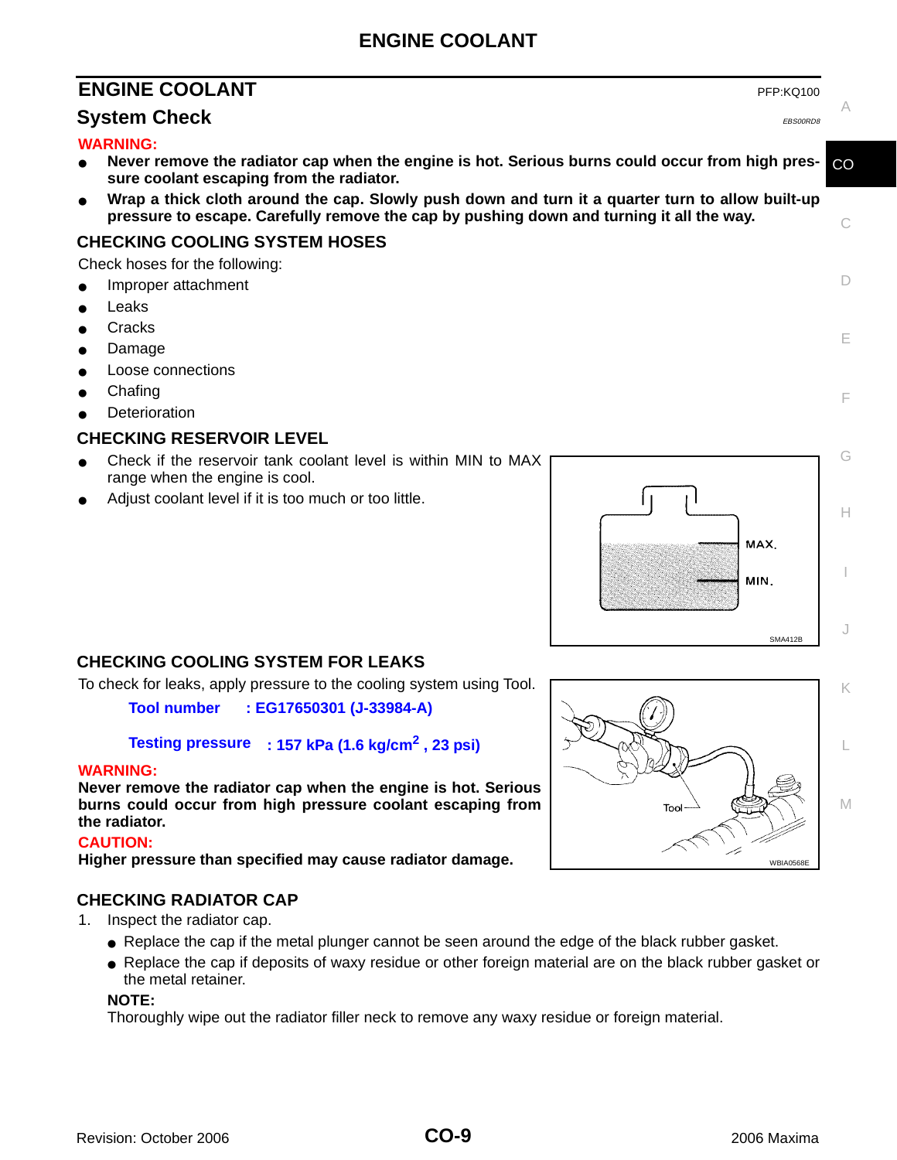## **ENGINE COOLANT**

## <span id="page-8-0"></span>**ENGINE COOLANT** PERICULARY **PERICULARY**

#### <span id="page-8-1"></span>**System Check** EBS00RD8

#### **WARNING:**

- Never remove the radiator cap when the engine is hot. Serious burns could occur from high pres**sure coolant escaping from the radiator.**
- Wrap a thick cloth around the cap. Slowly push down and turn it a quarter turn to allow built-up **pressure to escape. Carefully remove the cap by pushing down and turning it all the way.**

#### <span id="page-8-2"></span>**CHECKING COOLING SYSTEM HOSES**

Check hoses for the following:

Improper attachment

- Leaks
- **Cracks**
- Damage
- **Loose connections**
- Chafing
- Deterioration

#### <span id="page-8-3"></span>**CHECKING RESERVOIR LEVEL**

- Check if the reservoir tank coolant level is within MIN to MAX range when the engine is cool.
- Adjust coolant level if it is too much or too little.

![](_page_8_Figure_18.jpeg)

#### <span id="page-8-4"></span>**CHECKING COOLING SYSTEM FOR LEAKS**

To check for leaks, apply pressure to the cooling system using Tool.

**Tool number : EG17650301 (J-33984-A)**

#### **Testing pressure : 157 kPa (1.6 kg/cm2 , 23 psi)**

#### **WARNING:**

**Never remove the radiator cap when the engine is hot. Serious burns could occur from high pressure coolant escaping from the radiator.**

#### **CAUTION:**

**Higher pressure than specified may cause radiator damage.**

#### <span id="page-8-5"></span>**CHECKING RADIATOR CAP**

- 1. Inspect the radiator cap.
	- Replace the cap if the metal plunger cannot be seen around the edge of the black rubber gasket.
	- Replace the cap if deposits of waxy residue or other foreign material are on the black rubber gasket or the metal retainer.

#### **NOTE:**

Thoroughly wipe out the radiator filler neck to remove any waxy residue or foreign material.

![](_page_8_Figure_33.jpeg)

C

A

CO

D

E

F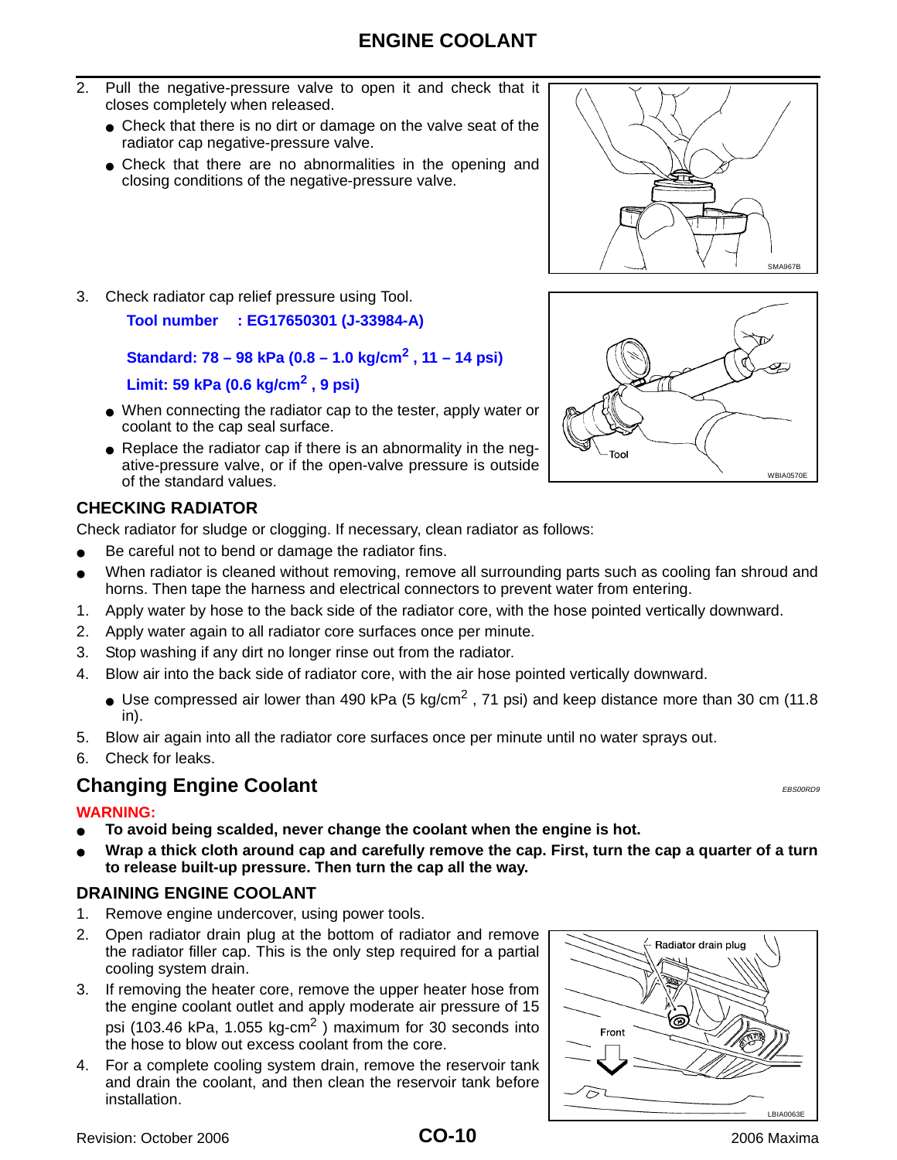- 2. Pull the negative-pressure valve to open it and check that it closes completely when released.
	- Check that there is no dirt or damage on the valve seat of the radiator cap negative-pressure valve.
	- Check that there are no abnormalities in the opening and closing conditions of the negative-pressure valve.

![](_page_9_Figure_4.jpeg)

3. Check radiator cap relief pressure using Tool.

**Tool number : EG17650301 (J-33984-A)**

**Standard: 78 – 98 kPa (0.8 – 1.0 kg/cm2 , 11 – 14 psi)**

#### **Limit: 59 kPa (0.6 kg/cm2 , 9 psi)**

- When connecting the radiator cap to the tester, apply water or coolant to the cap seal surface.
- Replace the radiator cap if there is an abnormality in the negative-pressure valve, or if the open-valve pressure is outside of the standard values.

#### <span id="page-9-0"></span>**CHECKING RADIATOR**

Check radiator for sludge or clogging. If necessary, clean radiator as follows:

- Be careful not to bend or damage the radiator fins.
- When radiator is cleaned without removing, remove all surrounding parts such as cooling fan shroud and horns. Then tape the harness and electrical connectors to prevent water from entering.
- 1. Apply water by hose to the back side of the radiator core, with the hose pointed vertically downward.
- 2. Apply water again to all radiator core surfaces once per minute.
- 3. Stop washing if any dirt no longer rinse out from the radiator.
- 4. Blow air into the back side of radiator core, with the air hose pointed vertically downward.
	- Use compressed air lower than 490 kPa (5 kg/cm<sup>2</sup>, 71 psi) and keep distance more than 30 cm (11.8) in).
- 5. Blow air again into all the radiator core surfaces once per minute until no water sprays out.
- 6. Check for leaks.

## <span id="page-9-1"></span>**Changing Engine Coolant** EBS00RD9 **Changing Engine Coolant**

#### **WARNING:**

- To avoid being scalded, never change the coolant when the engine is hot.
- Wrap a thick cloth around cap and carefully remove the cap. First, turn the cap a quarter of a turn **to release built-up pressure. Then turn the cap all the way.**

#### <span id="page-9-2"></span>**DRAINING ENGINE COOLANT**

- 1. Remove engine undercover, using power tools.
- 2. Open radiator drain plug at the bottom of radiator and remove the radiator filler cap. This is the only step required for a partial cooling system drain.
- 3. If removing the heater core, remove the upper heater hose from the engine coolant outlet and apply moderate air pressure of 15 psi (103.46 kPa, 1.055 kg-cm<sup>2</sup>) maximum for 30 seconds into the hose to blow out excess coolant from the core.
- 4. For a complete cooling system drain, remove the reservoir tank and drain the coolant, and then clean the reservoir tank before installation.

![](_page_9_Figure_31.jpeg)

![](_page_9_Figure_32.jpeg)

2006 Maxima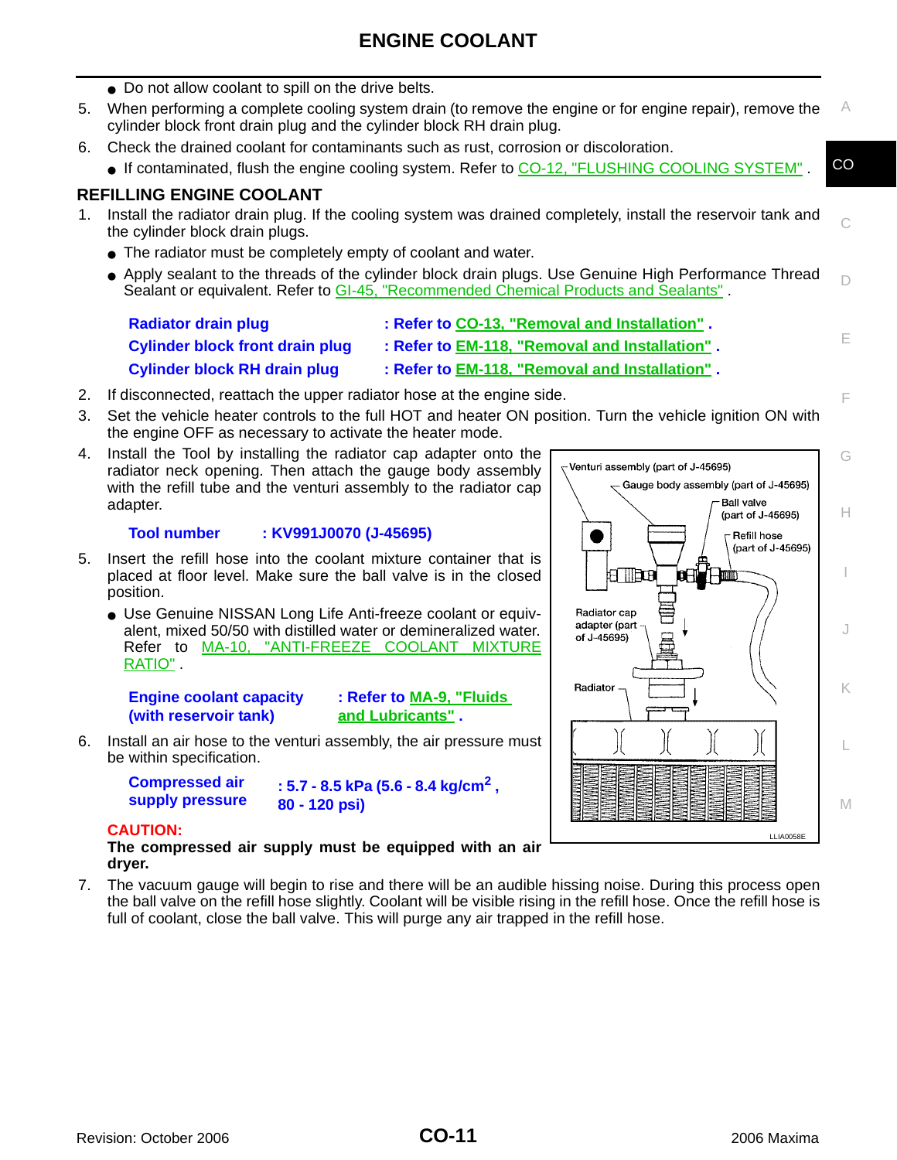- Do not allow coolant to spill on the drive belts.
- A 5. When performing a complete cooling system drain (to remove the engine or for engine repair), remove the cylinder block front drain plug and the cylinder block RH drain plug.
- 6. Check the drained coolant for contaminants such as rust, corrosion or discoloration.
	- CO • If contaminated, flush the engine cooling system. Refer to [CO-12, "FLUSHING COOLING SYSTEM"](#page-11-0).

#### <span id="page-10-0"></span>**REFILLING ENGINE COOLANT**

- 1. Install the radiator drain plug. If the cooling system was drained completely, install the reservoir tank and the cylinder block drain plugs.
	- The radiator must be completely empty of coolant and water.
	- $\Box$ ● Apply sealant to the threads of the cylinder block drain plugs. Use Genuine High Performance Thread Sealant or equivalent. Refer to GI-45, "Recommended Chemical Products and Sealants" .

| <b>Radiator drain plug</b>             | : Refer to CO-13, "Removal and Installation".  |
|----------------------------------------|------------------------------------------------|
| <b>Cylinder block front drain plug</b> | : Refer to EM-118, "Removal and Installation". |
| <b>Cylinder block RH drain plug</b>    | : Refer to EM-118, "Removal and Installation". |

- 2. If disconnected, reattach the upper radiator hose at the engine side.
- 3. Set the vehicle heater controls to the full HOT and heater ON position. Turn the vehicle ignition ON with the engine OFF as necessary to activate the heater mode.
- 4. Install the Tool by installing the radiator cap adapter onto the radiator neck opening. Then attach the gauge body assembly with the refill tube and the venturi assembly to the radiator cap adapter.

#### **Tool number : KV991J0070 (J-45695)**

- 5. Insert the refill hose into the coolant mixture container that is placed at floor level. Make sure the ball valve is in the closed position.
	- Use Genuine NISSAN Long Life Anti-freeze coolant or equivalent, mixed 50/50 with distilled water or demineralized water. Refer to MA-10, "ANTI-FREEZE COOLANT MIXTURE RATIO" .

**Engine coolant capacity (with reservoir tank)**

**: Refer to MA-9, "Fluids and Lubricants" .**

6. Install an air hose to the venturi assembly, the air pressure must be within specification.

**Compressed air** 

**supply pressure : 5.7 - 8.5 kPa (5.6 - 8.4 kg/cm2 , 80 - 120 psi)**

#### **CAUTION:**

**The compressed air supply must be equipped with an air dryer.**

7. The vacuum gauge will begin to rise and there will be an audible hissing noise. During this process open the ball valve on the refill hose slightly. Coolant will be visible rising in the refill hose. Once the refill hose is full of coolant, close the ball valve. This will purge any air trapped in the refill hose.

![](_page_10_Figure_24.jpeg)

C

E

F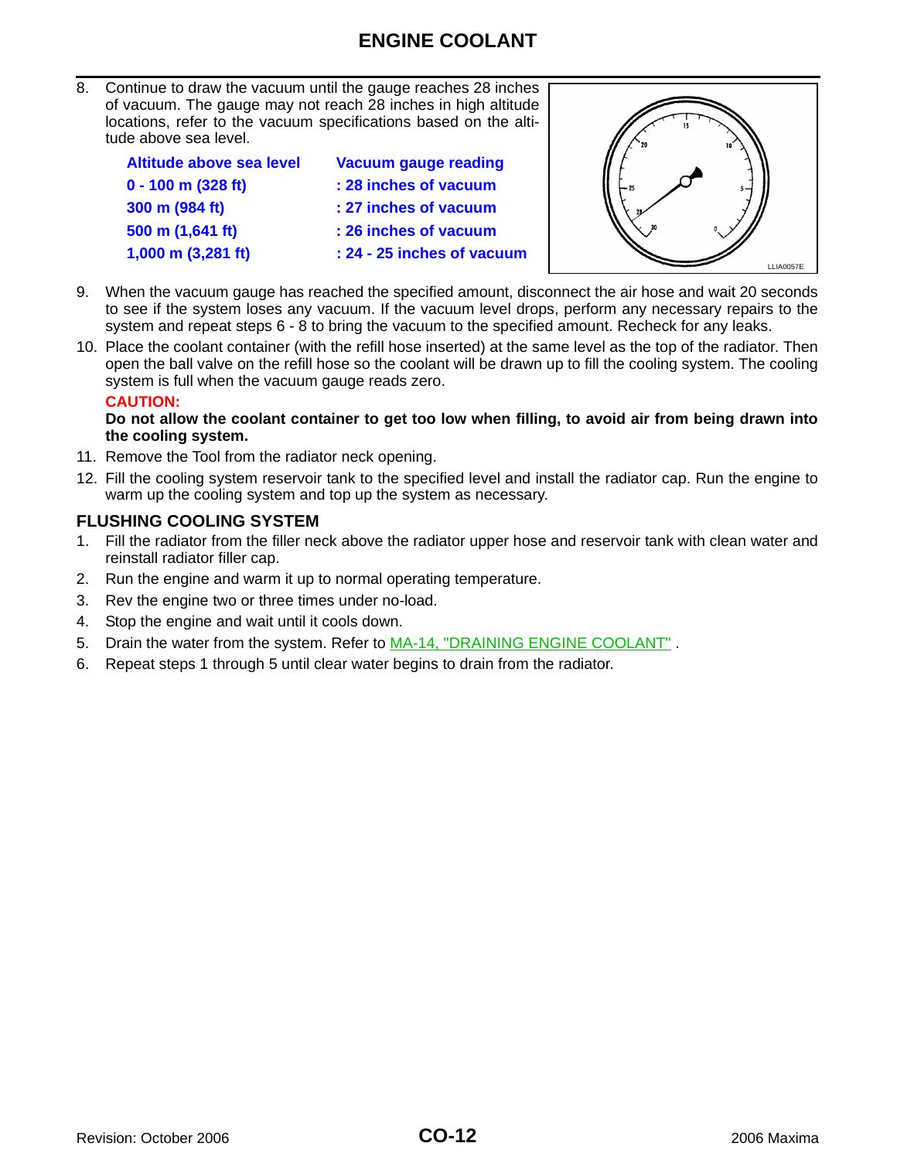8. Continue to draw the vacuum until the gauge reaches 28 inches of vacuum. The gauge may not reach 28 inches in high altitude locations, refer to the vacuum specifications based on the altitude above sea level.

| Altitude above sea level     | <b>Vacuum gauge reading</b> |
|------------------------------|-----------------------------|
| $0 - 100$ m (328 ft)         | : 28 inches of vacuum       |
| 300 m (984 ft)               | : 27 inches of vacuum       |
| 500 m (1,641 ft)             | : 26 inches of vacuum       |
| 1,000 m $(3,281 \text{ ft})$ | : 24 - 25 inches of vacuum  |
|                              |                             |

![](_page_11_Picture_3.jpeg)

- 9. When the vacuum gauge has reached the specified amount, disconnect the air hose and wait 20 seconds to see if the system loses any vacuum. If the vacuum level drops, perform any necessary repairs to the system and repeat steps 6 - 8 to bring the vacuum to the specified amount. Recheck for any leaks.
- 10. Place the coolant container (with the refill hose inserted) at the same level as the top of the radiator. Then open the ball valve on the refill hose so the coolant will be drawn up to fill the cooling system. The cooling system is full when the vacuum gauge reads zero.

#### **CAUTION:**

**Do not allow the coolant container to get too low when filling, to avoid air from being drawn into the cooling system.** 

- 11. Remove the Tool from the radiator neck opening.
- 12. Fill the cooling system reservoir tank to the specified level and install the radiator cap. Run the engine to warm up the cooling system and top up the system as necessary.

#### <span id="page-11-0"></span>**FLUSHING COOLING SYSTEM**

- 1. Fill the radiator from the filler neck above the radiator upper hose and reservoir tank with clean water and reinstall radiator filler cap.
- 2. Run the engine and warm it up to normal operating temperature.
- 3. Rev the engine two or three times under no-load.
- 4. Stop the engine and wait until it cools down.
- 5. Drain the water from the system. Refer to MA-14, "DRAINING ENGINE COOLANT".
- 6. Repeat steps 1 through 5 until clear water begins to drain from the radiator.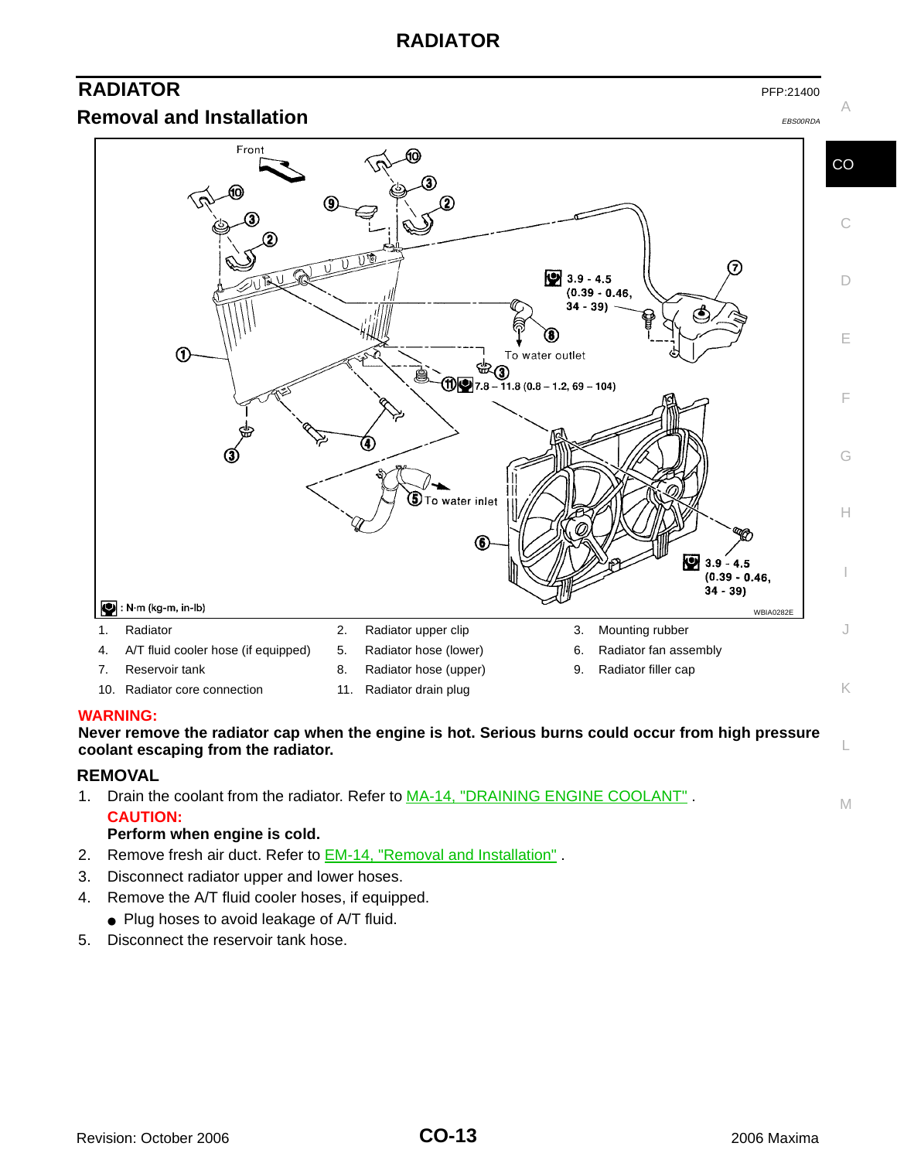## **RADIATOR**

## <span id="page-12-0"></span>**RADIATOR** PFP:21400

<span id="page-12-1"></span>**Removal and Installation** EBS00RDA EBS00RDA

![](_page_12_Figure_4.jpeg)

A

![](_page_12_Figure_5.jpeg)

#### Front CO C 7  $9.9 - 4.5$ D  $(0.39 - 0.46,$  $34 - 39$ 0 E  $\Phi$ To water outlet ֍  $\textcircled{12}$  7.8 – 11.8 (0.8 – 1.2, 69 – 104) F 4 G  $\textcircled{\small{\texttt{I}}}$ To water inlet H 6  $93.9 - 4.5$ I  $(0.39 - 0.46)$  $34 - 39$  $\bullet$  : N·m (kg-m, in-lb) WBIA0282 1. Radiator 2. Radiator upper clip 3. Mounting rubber J 4. A/T fluid cooler hose (if equipped) 5. Radiator hose (lower) 6. Radiator fan assembly 7. Reservoir tank 1988 Capital Radiator hose (upper) 9. Radiator filler cap 10. Radiator core connection 11. Radiator drain plug K

#### **WARNING:**

**Never remove the radiator cap when the engine is hot. Serious burns could occur from high pressure coolant escaping from the radiator.**

#### <span id="page-12-2"></span>**REMOVAL**

M 1. Drain the coolant from the radiator. Refer to MA-14, "DRAINING ENGINE COOLANT" . **CAUTION:**

#### **Perform when engine is cold.**

- 2. Remove fresh air duct. Refer to **EM-14**, "Removal and Installation".
- 3. Disconnect radiator upper and lower hoses.
- 4. Remove the A/T fluid cooler hoses, if equipped.
	- Plug hoses to avoid leakage of A/T fluid.
- 5. Disconnect the reservoir tank hose.

L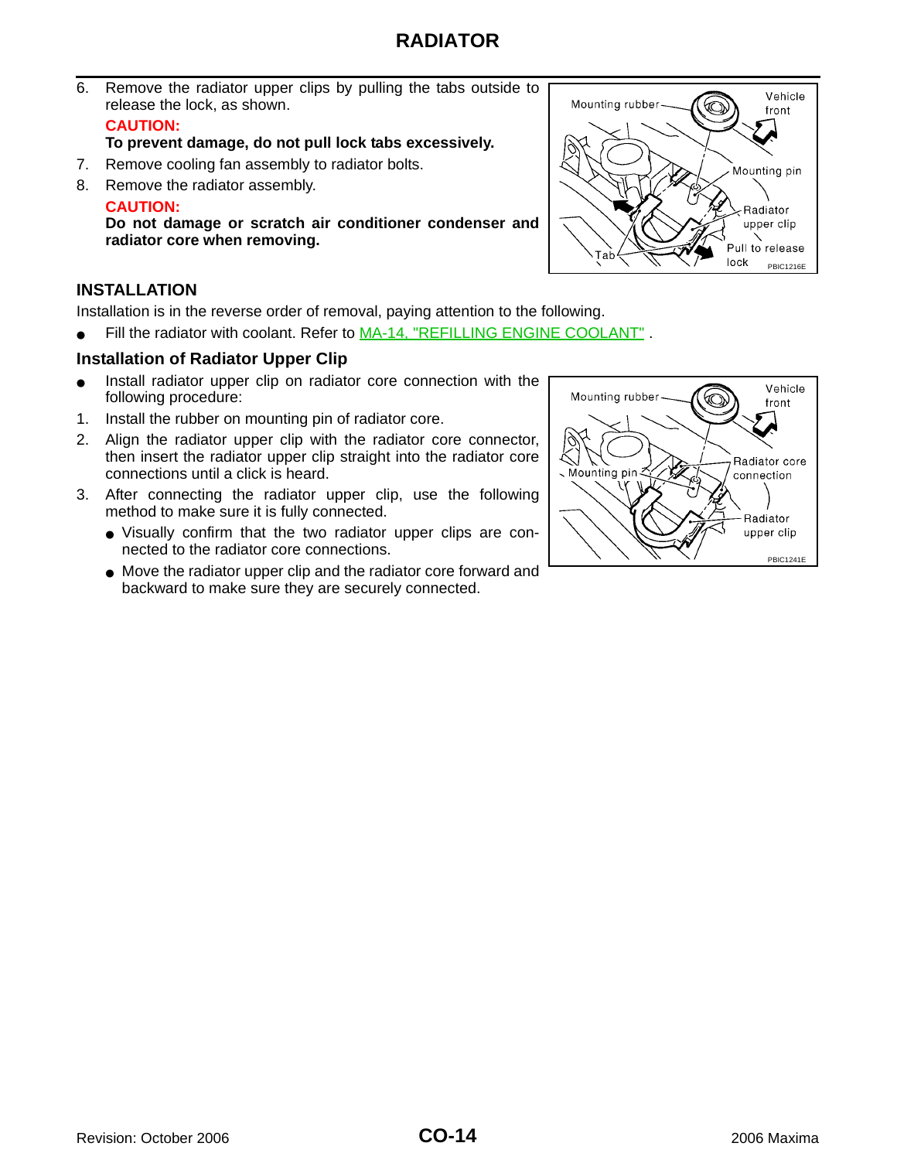## **RADIATOR**

6. Remove the radiator upper clips by pulling the tabs outside to release the lock, as shown.

#### **CAUTION:**

**To prevent damage, do not pull lock tabs excessively.**

- 7. Remove cooling fan assembly to radiator bolts.
- 8. Remove the radiator assembly.

#### **CAUTION:**

**Do not damage or scratch air conditioner condenser and radiator core when removing.**

#### <span id="page-13-0"></span>**INSTALLATION**

Installation is in the reverse order of removal, paying attention to the following.

● Fill the radiator with coolant. Refer to MA-14, "REFILLING ENGINE COOLANT".

#### **Installation of Radiator Upper Clip**

- Install radiator upper clip on radiator core connection with the following procedure:
- 1. Install the rubber on mounting pin of radiator core.
- 2. Align the radiator upper clip with the radiator core connector, then insert the radiator upper clip straight into the radiator core connections until a click is heard.
- 3. After connecting the radiator upper clip, use the following method to make sure it is fully connected.
	- Visually confirm that the two radiator upper clips are connected to the radiator core connections.
	- Move the radiator upper clip and the radiator core forward and backward to make sure they are securely connected.

![](_page_13_Figure_18.jpeg)

![](_page_13_Figure_19.jpeg)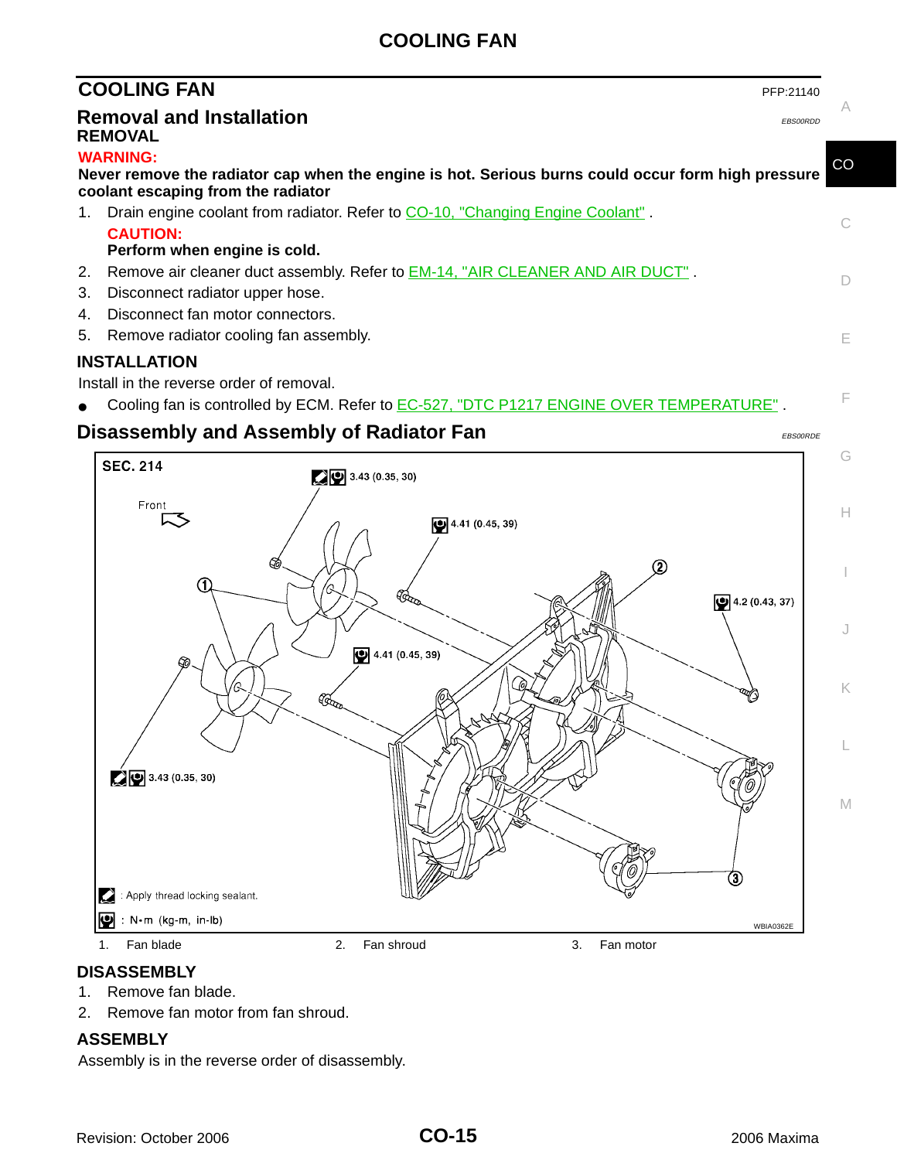## **COOLING FAN**

<span id="page-14-2"></span><span id="page-14-1"></span><span id="page-14-0"></span>

|    | <b>COOLING FAN</b><br>PFP:21140                                                                                                                             |             |
|----|-------------------------------------------------------------------------------------------------------------------------------------------------------------|-------------|
|    | <b>Removal and Installation</b><br><b>EBS00RDD</b><br><b>REMOVAL</b>                                                                                        |             |
|    | <b>WARNING:</b><br>Never remove the radiator cap when the engine is hot. Serious burns could occur form high pressure<br>coolant escaping from the radiator | $_{\rm CO}$ |
| 1. | Drain engine coolant from radiator. Refer to CO-10, "Changing Engine Coolant".<br><b>CAUTION:</b><br>Perform when engine is cold.                           | C.          |
| 3. | 2. Remove air cleaner duct assembly. Refer to <b>EM-14, "AIR CLEANER AND AIR DUCT"</b> .<br>Disconnect radiator upper hose.                                 |             |
| 4. | Disconnect fan motor connectors.<br>5. Remove radiator cooling fan assembly.                                                                                | F           |

#### <span id="page-14-3"></span>**INSTALLATION**

Install in the reverse order of removal.

● Cooling fan is controlled by ECM. Refer to EC-527, "DTC P1217 ENGINE OVER TEMPERATURE".

## <span id="page-14-4"></span>**Disassembly and Assembly of Radiator Fan** EBS00RDE EBS00RDE

F

G

H

I

J

K

L

![](_page_14_Figure_7.jpeg)

#### <span id="page-14-5"></span>**DISASSEMBLY**

- 1. Remove fan blade.
- 2. Remove fan motor from fan shroud.

#### <span id="page-14-6"></span>**ASSEMBLY**

Assembly is in the reverse order of disassembly.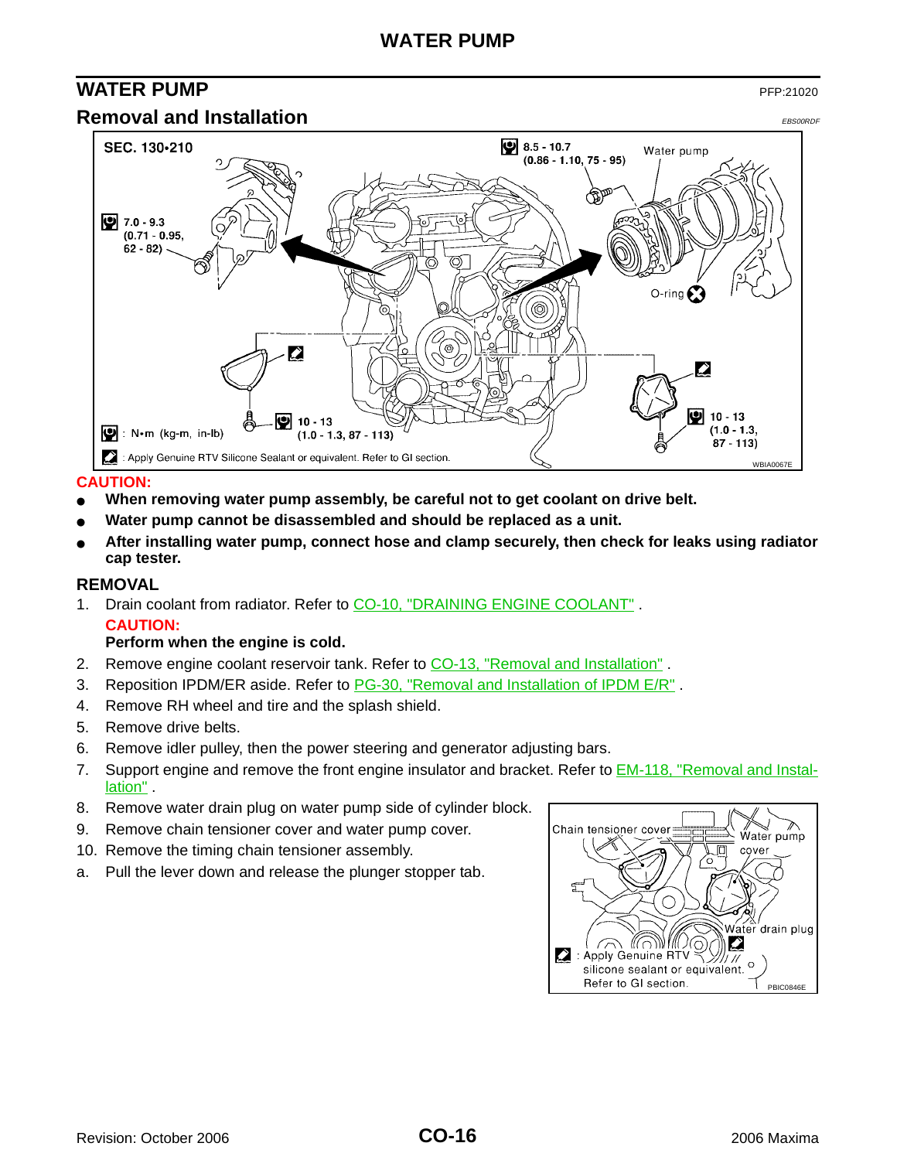## <span id="page-15-0"></span>**WATER PUMP** PFP:21020

<span id="page-15-1"></span>![](_page_15_Figure_3.jpeg)

#### **CAUTION:**

- When removing water pump assembly, be careful not to get coolant on drive belt.
- Water pump cannot be disassembled and should be replaced as a unit.
- After installing water pump, connect hose and clamp securely, then check for leaks using radiator **cap tester.**

#### <span id="page-15-2"></span>**REMOVAL**

1. Drain coolant from radiator. Refer to [CO-10, "DRAINING ENGINE COOLANT"](#page-9-2). **CAUTION:**

#### **Perform when the engine is cold.**

- 2. Remove engine coolant reservoir tank. Refer to [CO-13, "Removal and Installation"](#page-12-1) .
- 3. Reposition IPDM/ER aside. Refer to PG-30, "Removal and Installation of IPDM E/R".
- 4. Remove RH wheel and tire and the splash shield.
- 5. Remove drive belts.
- 6. Remove idler pulley, then the power steering and generator adjusting bars.
- 7. Support engine and remove the front engine insulator and bracket. Refer to **EM-118**, "Removal and Installation" .
- 8. Remove water drain plug on water pump side of cylinder block.
- 9. Remove chain tensioner cover and water pump cover.
- 10. Remove the timing chain tensioner assembly.
- a. Pull the lever down and release the plunger stopper tab.

![](_page_15_Figure_21.jpeg)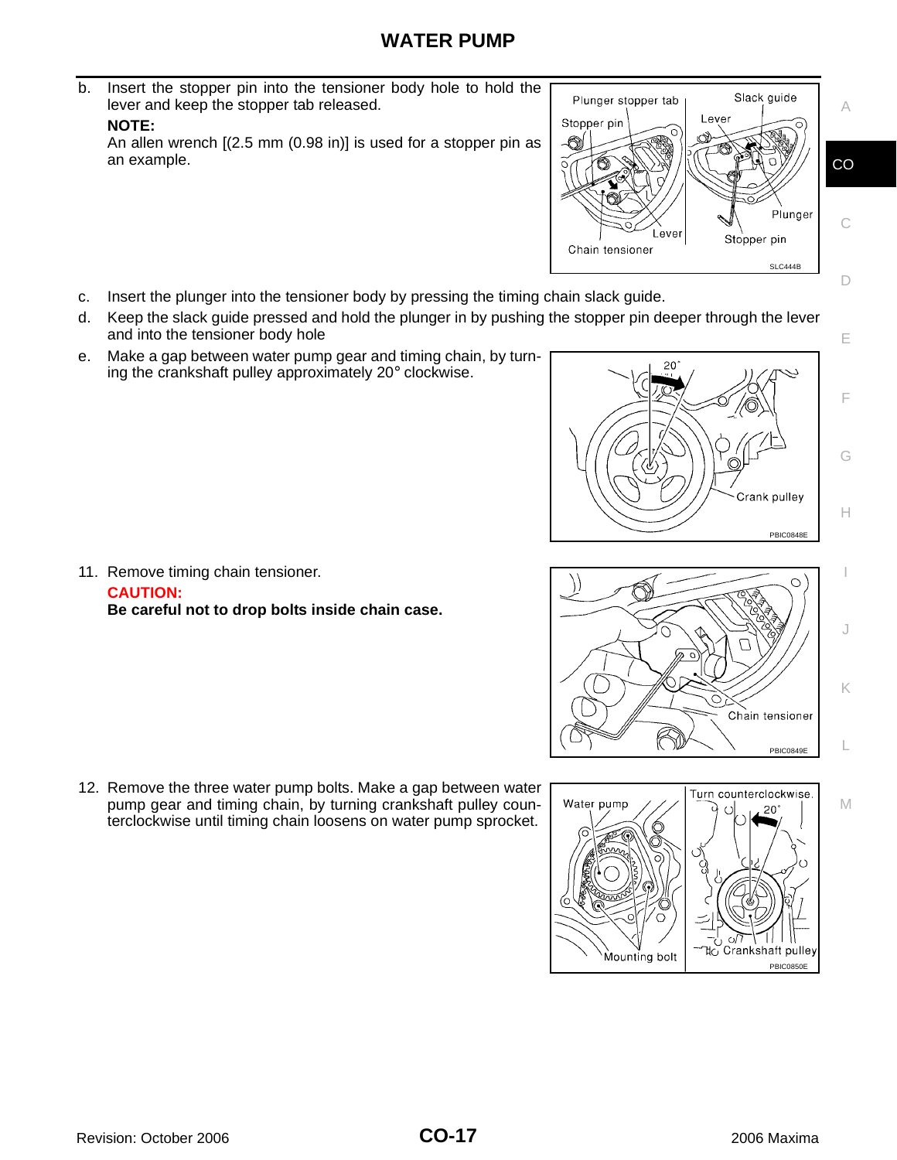## **WATER PUMP**

b. Insert the stopper pin into the tensioner body hole to hold the lever and keep the stopper tab released.

#### **NOTE:**

An allen wrench [(2.5 mm (0.98 in)] is used for a stopper pin as an example.

![](_page_16_Figure_4.jpeg)

- c. Insert the plunger into the tensioner body by pressing the timing chain slack guide.
- d. Keep the slack guide pressed and hold the plunger in by pushing the stopper pin deeper through the lever and into the tensioner body hole
- e. Make a gap between water pump gear and timing chain, by turning the crankshaft pulley approximately 20° clockwise.

![](_page_16_Picture_8.jpeg)

E

F

G

H

I

J

K

L

M

![](_page_16_Figure_9.jpeg)

Turn counterclockwise. Water pump  $20^{\circ}$  $\epsilon$ 

Mounting bolt

11. Remove timing chain tensioner.

**CAUTION: Be careful not to drop bolts inside chain case.**

12. Remove the three water pump bolts. Make a gap between water pump gear and timing chain, by turning crankshaft pulley counterclockwise until timing chain loosens on water pump sprocket.

PBIC0850E

้ไ‡<sub>C</sub> Crankshaft pulle<sub>)</sub>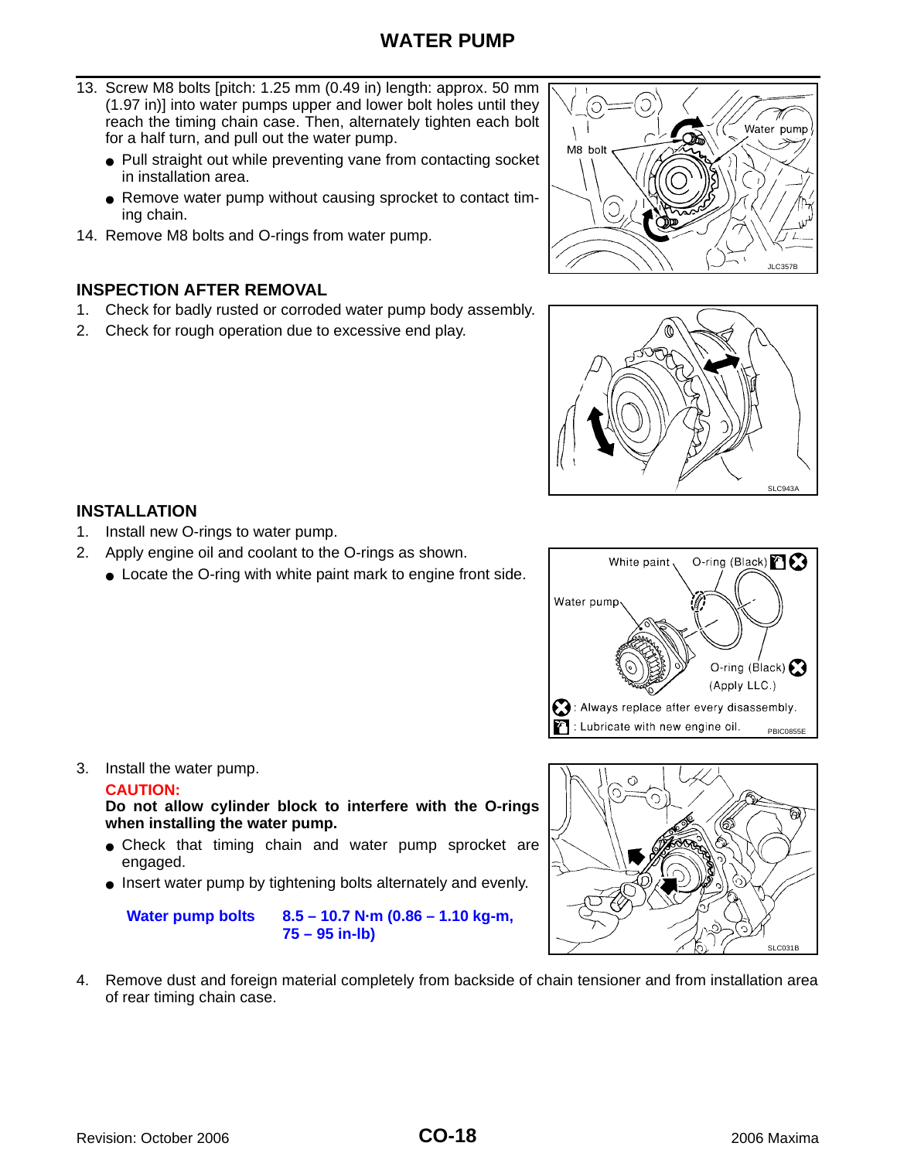- 13. Screw M8 bolts [pitch: 1.25 mm (0.49 in) length: approx. 50 mm (1.97 in)] into water pumps upper and lower bolt holes until they reach the timing chain case. Then, alternately tighten each bolt for a half turn, and pull out the water pump.
	- Pull straight out while preventing vane from contacting socket in installation area.
	- Remove water pump without causing sprocket to contact timing chain.
- 14. Remove M8 bolts and O-rings from water pump.

#### <span id="page-17-0"></span>**INSPECTION AFTER REMOVAL**

- 1. Check for badly rusted or corroded water pump body assembly.
- 2. Check for rough operation due to excessive end play.

![](_page_17_Figure_8.jpeg)

![](_page_17_Picture_9.jpeg)

#### <span id="page-17-1"></span>**INSTALLATION**

- 1. Install new O-rings to water pump.
- 2. Apply engine oil and coolant to the O-rings as shown.
	- Locate the O-ring with white paint mark to engine front side.

![](_page_17_Figure_14.jpeg)

![](_page_17_Figure_15.jpeg)

#### **CAUTION:**

**Do not allow cylinder block to interfere with the O-rings when installing the water pump.** 

- Check that timing chain and water pump sprocket are engaged.
- Insert water pump by tightening bolts alternately and evenly.

**Water pump bolts 8.5 – 10.7 N·m (0.86 – 1.10 kg-m, 75 – 95 in-lb)**

![](_page_17_Figure_21.jpeg)

4. Remove dust and foreign material completely from backside of chain tensioner and from installation area of rear timing chain case.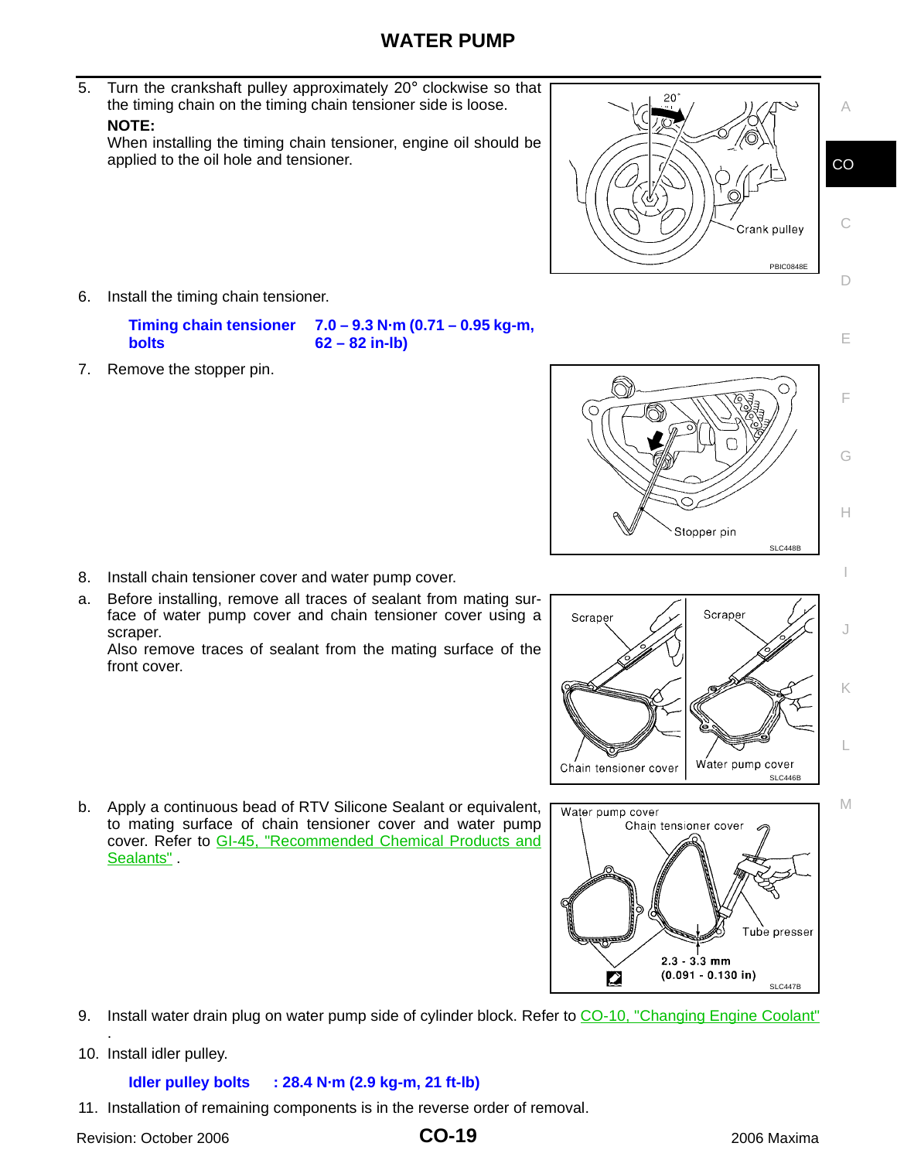5. Turn the crankshaft pulley approximately 20° clockwise so that the timing chain on the timing chain tensioner side is loose.

#### **NOTE:**

When installing the timing chain tensioner, engine oil should be applied to the oil hole and tensioner.

 $20$ Crank pulley PBIC0848E

6. Install the timing chain tensioner.

**Timing chain tensioner bolts 7.0 – 9.3 N·m (0.71 – 0.95 kg-m, 62 – 82 in-lb)**

7. Remove the stopper pin.

scraper.

front cover.

![](_page_18_Picture_8.jpeg)

Scraper Scraper Water pump cover Chain tensioner cover SLC446B

![](_page_18_Figure_10.jpeg)

b. Apply a continuous bead of RTV Silicone Sealant or equivalent, to mating surface of chain tensioner cover and water pump cover. Refer to GI-45, "Recommended Chemical Products and Sealants".

8. Install chain tensioner cover and water pump cover.

a. Before installing, remove all traces of sealant from mating surface of water pump cover and chain tensioner cover using a

Also remove traces of sealant from the mating surface of the

- 9. Install water drain plug on water pump side of cylinder block. Refer to [CO-10, "Changing Engine Coolant"](#page-9-1) .
- 10. Install idler pulley.

**Idler pulley bolts : 28.4 N·m (2.9 kg-m, 21 ft-lb)**

11. Installation of remaining components is in the reverse order of removal.

Revision: October 2006 2006 Maxima

#### **CO-19**

**CO** 

C

A

D

E

F

G

H

I

J

K

L

M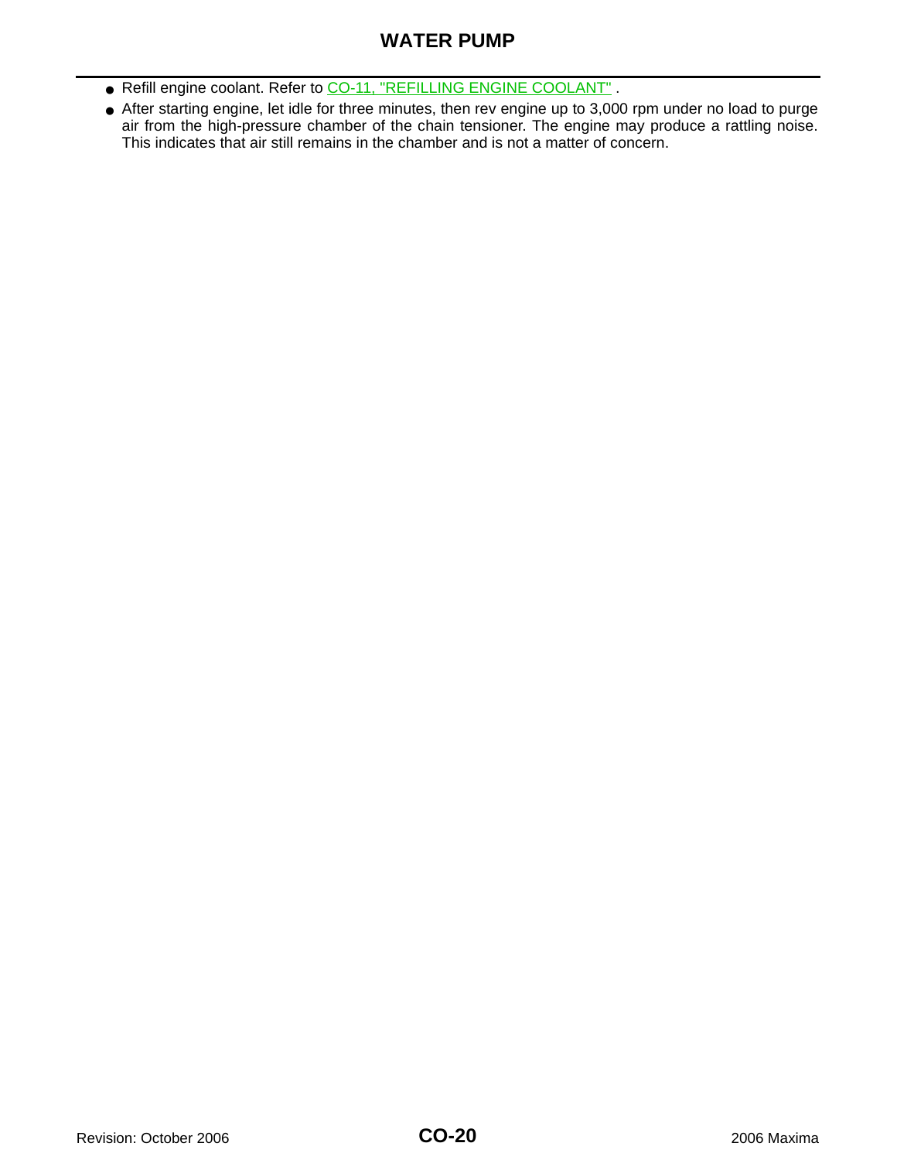## **WATER PUMP**

- Refill engine coolant. Refer to [CO-11, "REFILLING ENGINE COOLANT"](#page-10-0) .
- After starting engine, let idle for three minutes, then rev engine up to 3,000 rpm under no load to purge air from the high-pressure chamber of the chain tensioner. The engine may produce a rattling noise. This indicates that air still remains in the chamber and is not a matter of concern.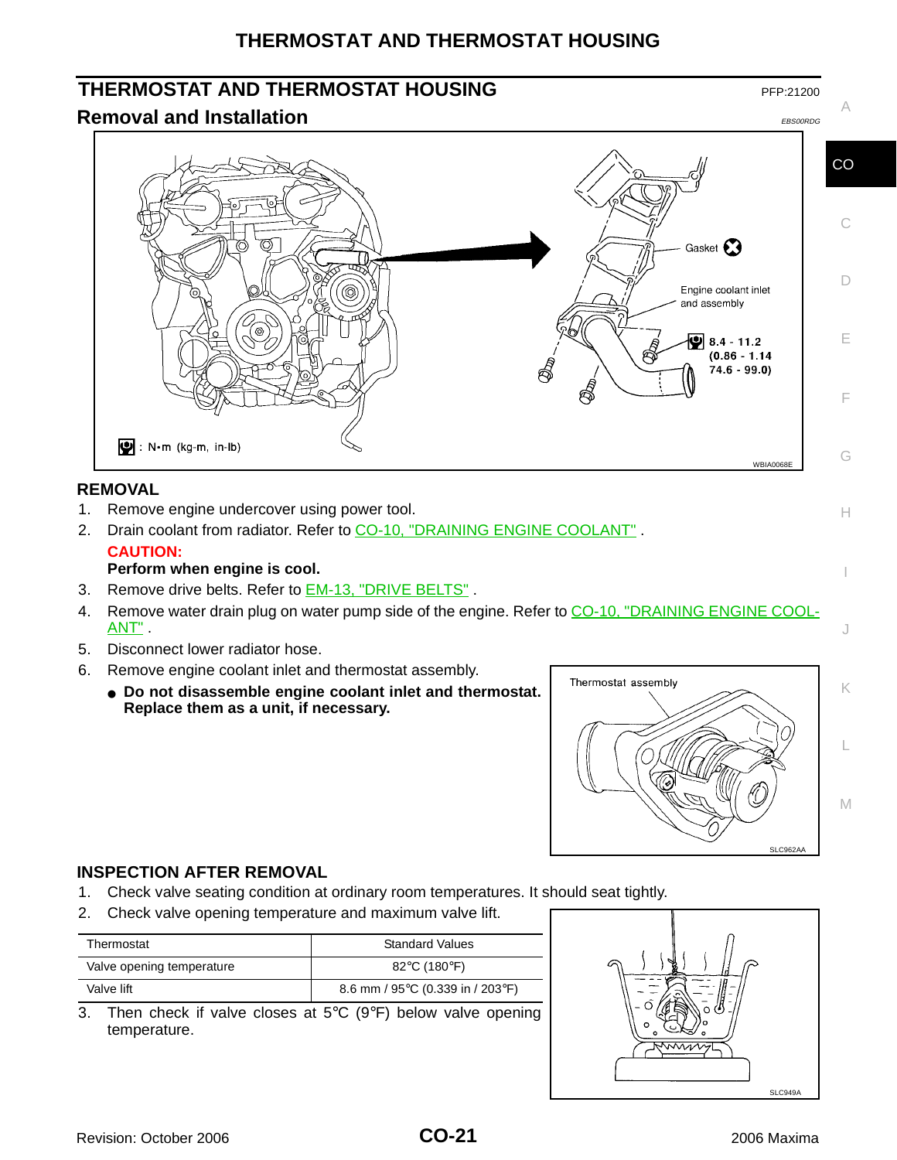## **THERMOSTAT AND THERMOSTAT HOUSING**

## <span id="page-20-0"></span>**THERMOSTAT AND THERMOSTAT HOUSING**

#### <span id="page-20-1"></span>**Removal and Installation** EBS00RDG EBS00RDG EBS00RDG

![](_page_20_Figure_3.jpeg)

A

H

I

J

![](_page_20_Figure_5.jpeg)

#### <span id="page-20-2"></span>**REMOVAL**

- 1. Remove engine undercover using power tool.
- 2. Drain coolant from radiator. Refer to [CO-10, "DRAINING ENGINE COOLANT"](#page-9-2). **CAUTION:**
	- **Perform when engine is cool.**
- 3. Remove drive belts. Refer to **EM-13**, "DRIVE BELTS".
- 4. Remove water drain plug on water pump side of the engine. Refer to [CO-10, "DRAINING ENGINE COOL-](#page-9-2)[ANT"](#page-9-2) .
- 5. Disconnect lower radiator hose.
- 6. Remove engine coolant inlet and thermostat assembly.
	- **Do not disassemble engine coolant inlet and thermostat. Replace them as a unit, if necessary.**

![](_page_20_Figure_15.jpeg)

#### <span id="page-20-3"></span>**INSPECTION AFTER REMOVAL**

- 1. Check valve seating condition at ordinary room temperatures. It should seat tightly.
- 2. Check valve opening temperature and maximum valve lift.

| Thermostat                | <b>Standard Values</b>                               |
|---------------------------|------------------------------------------------------|
| Valve opening temperature | 82°C (180°F)                                         |
| Valve lift                | 8.6 mm / 95 $\degree$ C (0.339 in / 203 $\degree$ F) |

3. Then check if valve closes at 5°C (9°F) below valve opening temperature.

![](_page_20_Figure_21.jpeg)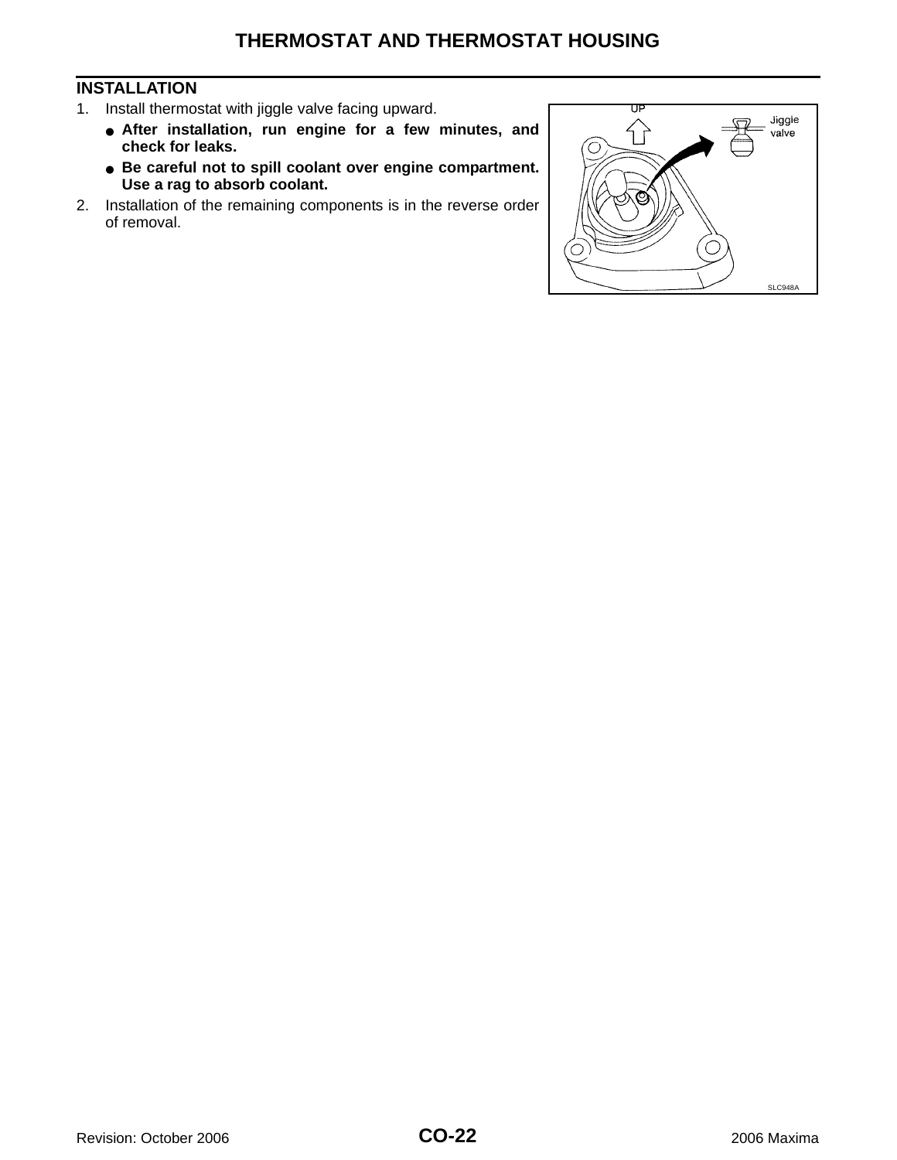#### <span id="page-21-0"></span>**INSTALLATION**

- 1. Install thermostat with jiggle valve facing upward.
	- **After installation, run engine for a few minutes, and check for leaks.**
	- **Be careful not to spill coolant over engine compartment. Use a rag to absorb coolant.**
- 2. Installation of the remaining components is in the reverse order of removal.

![](_page_21_Figure_6.jpeg)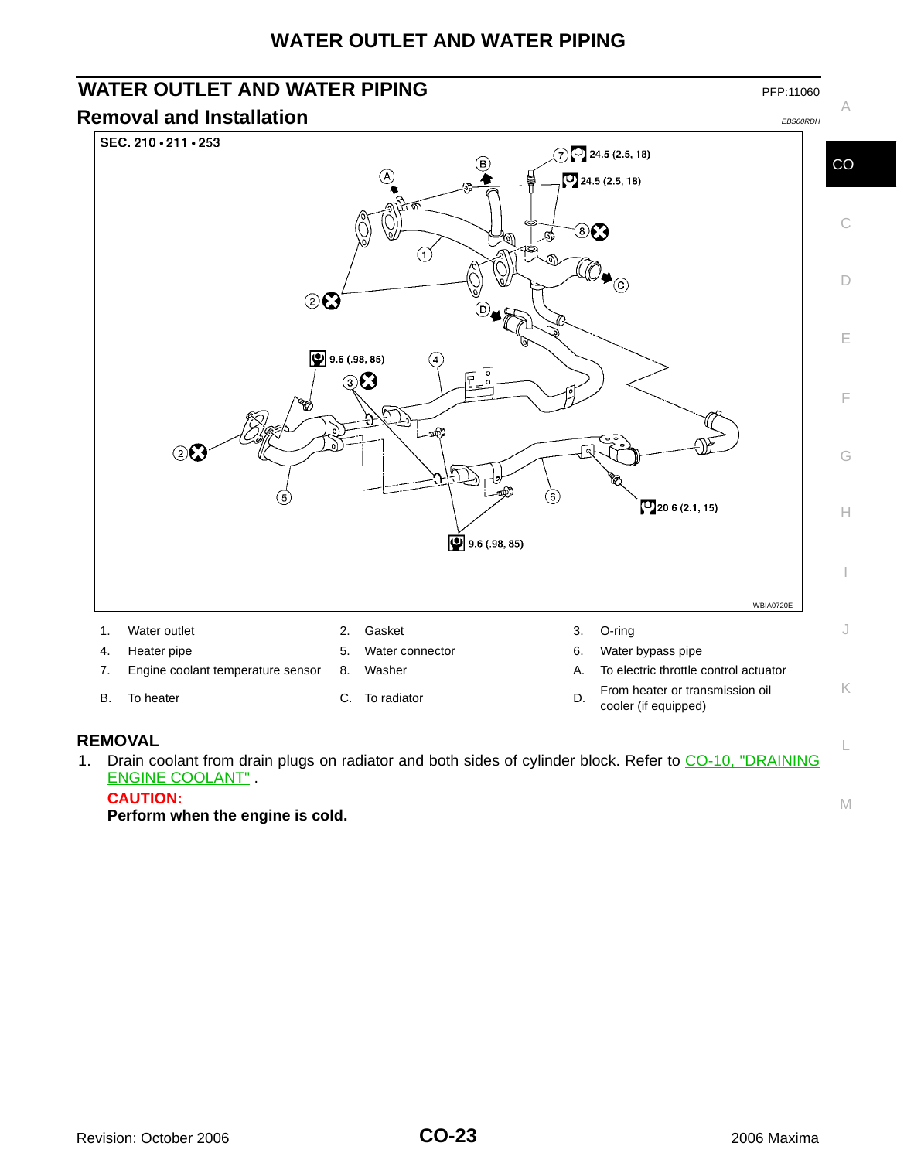## **WATER OUTLET AND WATER PIPING**

# <span id="page-22-0"></span>**WATER OUTLET AND WATER PIPING PEP:11060** PFP:11060

<span id="page-22-1"></span>![](_page_22_Figure_2.jpeg)

- 
- cooler (if equipped)

#### <span id="page-22-2"></span>**REMOVAL**

1. Drain coolant from drain plugs on radiator and both sides of cylinder block. Refer to [CO-10, "DRAINING](#page-9-2) [ENGINE COOLANT"](#page-9-2) .

#### **CAUTION:**

**Perform when the engine is cold.**

L

M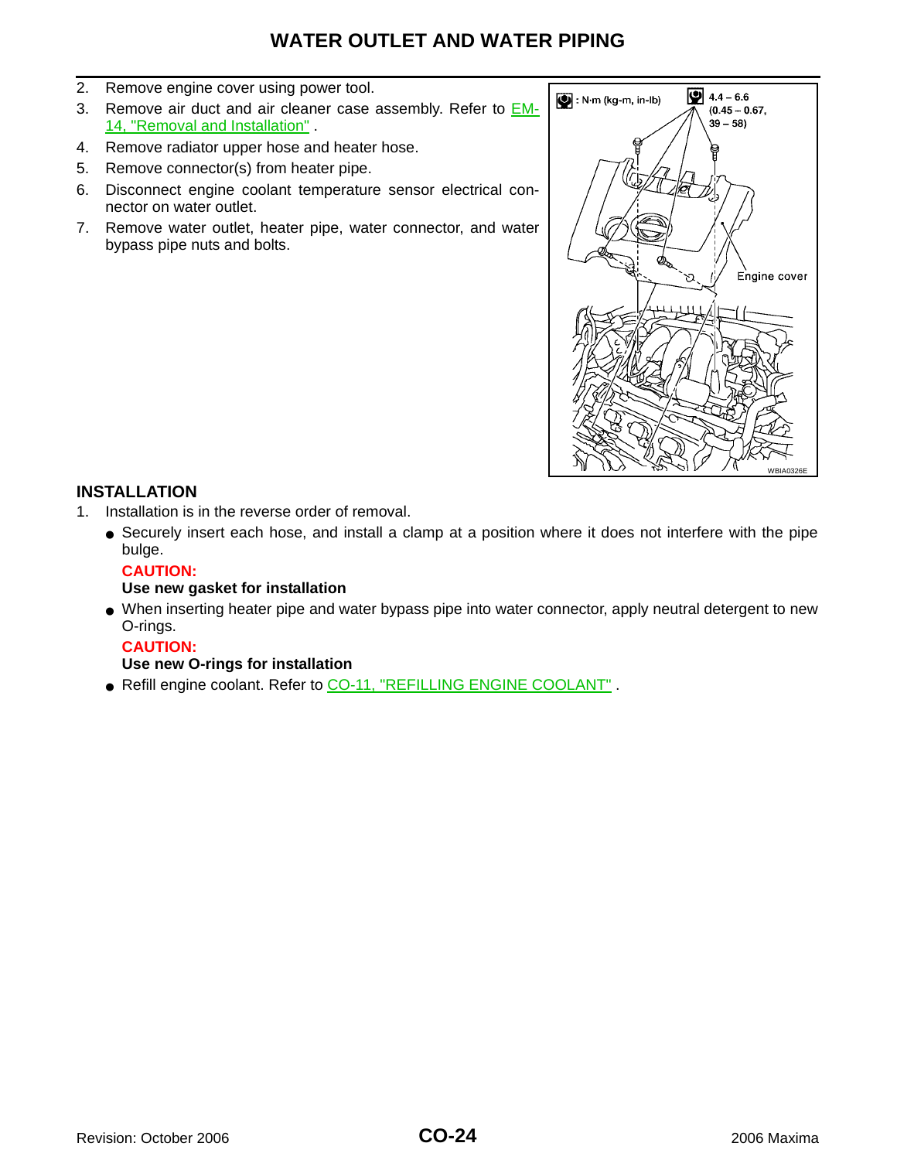## **WATER OUTLET AND WATER PIPING**

- 2. Remove engine cover using power tool.
- 3. Remove air duct and air cleaner case assembly. Refer to **EM-**14, "Removal and Installation" .
- 4. Remove radiator upper hose and heater hose.
- 5. Remove connector(s) from heater pipe.
- 6. Disconnect engine coolant temperature sensor electrical connector on water outlet.
- 7. Remove water outlet, heater pipe, water connector, and water bypass pipe nuts and bolts.

![](_page_23_Figure_7.jpeg)

#### <span id="page-23-0"></span>**INSTALLATION**

- 1. Installation is in the reverse order of removal.
	- Securely insert each hose, and install a clamp at a position where it does not interfere with the pipe bulge.

#### **CAUTION:**

#### **Use new gasket for installation**

● When inserting heater pipe and water bypass pipe into water connector, apply neutral detergent to new O-rings.

#### **CAUTION:**

#### **Use new O-rings for installation**

● Refill engine coolant. Refer to [CO-11, "REFILLING ENGINE COOLANT"](#page-10-0).